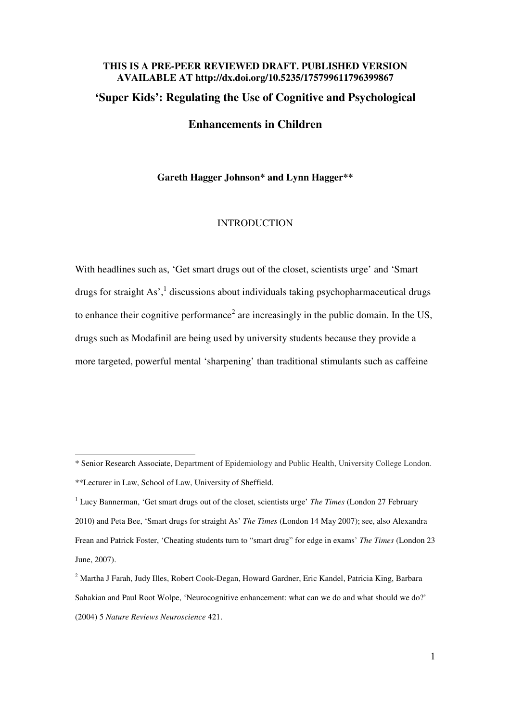# **THIS IS A PRE-PEER REVIEWED DRAFT. PUBLISHED VERSION AVAILABLE AT http://dx.doi.org/10.5235/175799611796399867 'Super Kids': Regulating the Use of Cognitive and Psychological**

# **Enhancements in Children**

**Gareth Hagger Johnson\* and Lynn Hagger\*\*** 

#### **INTRODUCTION**

With headlines such as, 'Get smart drugs out of the closet, scientists urge' and 'Smart drugs for straight As',<sup>1</sup> discussions about individuals taking psychopharmaceutical drugs to enhance their cognitive performance<sup>2</sup> are increasingly in the public domain. In the US, drugs such as Modafinil are being used by university students because they provide a more targeted, powerful mental 'sharpening' than traditional stimulants such as caffeine

<sup>\*</sup> Senior Research Associate, Department of Epidemiology and Public Health, University College London. \*\*Lecturer in Law, School of Law, University of Sheffield.

<sup>&</sup>lt;sup>1</sup> Lucy Bannerman, 'Get smart drugs out of the closet, scientists urge' *The Times* (London 27 February 2010) and Peta Bee, 'Smart drugs for straight As' *The Times* (London 14 May 2007); see, also Alexandra Frean and Patrick Foster, 'Cheating students turn to "smart drug" for edge in exams' *The Times* (London 23 June, 2007).

 $^2$  Martha J Farah, Judy Illes, Robert Cook-Degan, Howard Gardner, Eric Kandel, Patricia King, Barbara Sahakian and Paul Root Wolpe, 'Neurocognitive enhancement: what can we do and what should we do?' (2004) 5 *Nature Reviews Neuroscience* 421.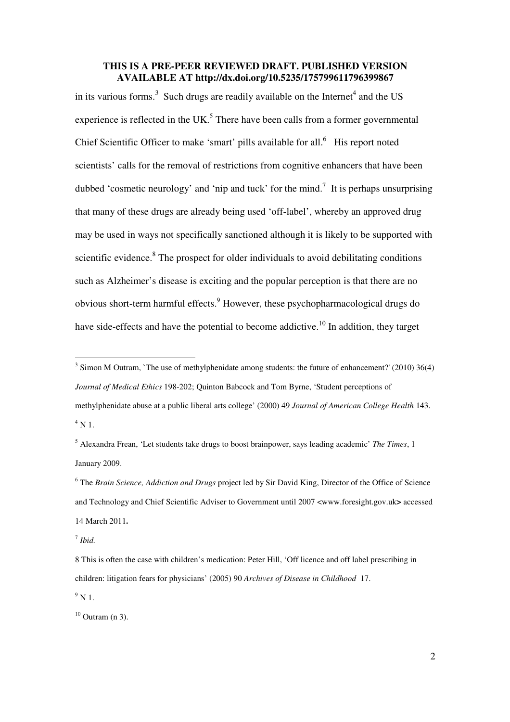in its various forms.<sup>3</sup> Such drugs are readily available on the Internet<sup>4</sup> and the US experience is reflected in the UK.<sup>5</sup> There have been calls from a former governmental Chief Scientific Officer to make 'smart' pills available for all. $<sup>6</sup>$  His report noted</sup> scientists' calls for the removal of restrictions from cognitive enhancers that have been dubbed 'cosmetic neurology' and 'nip and tuck' for the mind.<sup>7</sup> It is perhaps unsurprising that many of these drugs are already being used 'off-label', whereby an approved drug may be used in ways not specifically sanctioned although it is likely to be supported with scientific evidence.<sup>8</sup> The prospect for older individuals to avoid debilitating conditions such as Alzheimer's disease is exciting and the popular perception is that there are no obvious short-term harmful effects.<sup>9</sup> However, these psychopharmacological drugs do have side-effects and have the potential to become addictive.<sup>10</sup> In addition, they target

5 Alexandra Frean, 'Let students take drugs to boost brainpower, says leading academic' *The Times*, 1 January 2009.

6 The *Brain Science, Addiction and Drugs* project led by Sir David King, Director of the Office of Science and Technology and Chief Scientific Adviser to Government until 2007 <www.foresight.gov.uk**>** accessed 14 March 2011**.** 

7 *Ibid.*

8 This is often the case with children's medication: Peter Hill, 'Off licence and off label prescribing in children: litigation fears for physicians' (2005) 90 *Archives of Disease in Childhood* 17.

 $^9$  N 1.

 $10$  Outram (n 3).

<sup>&</sup>lt;sup>3</sup> Simon M Outram, `The use of methylphenidate among students: the future of enhancement?' (2010) 36(4) *Journal of Medical Ethics* 198-202; Quinton Babcock and Tom Byrne, 'Student perceptions of methylphenidate abuse at a public liberal arts college' (2000) 49 *Journal of American College Health* 143.  $4$  N 1.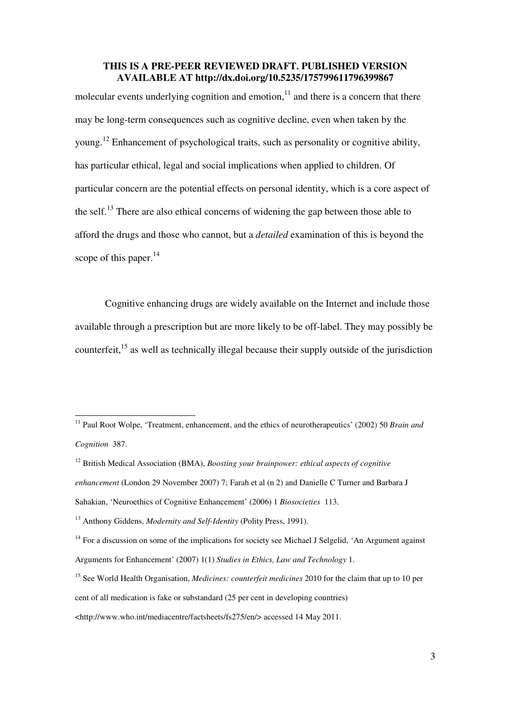molecular events underlying cognition and emotion, $11$  and there is a concern that there may be long-term consequences such as cognitive decline, even when taken by the young.<sup>12</sup> Enhancement of psychological traits, such as personality or cognitive ability, has particular ethical, legal and social implications when applied to children. Of particular concern are the potential effects on personal identity, which is a core aspect of the self.<sup>13</sup> There are also ethical concerns of widening the gap between those able to afford the drugs and those who cannot, but a *detailed* examination of this is beyond the scope of this paper. $^{14}$ 

Cognitive enhancing drugs are widely available on the Internet and include those available through a prescription but are more likely to be off-label. They may possibly be counterfeit.<sup>15</sup> as well as technically illegal because their supply outside of the jurisdiction

<sup>&</sup>lt;sup>11</sup> Paul Root Wolpe, 'Treatment, enhancement, and the ethics of neurotherapeutics' (2002) 50 *Brain and Cognition* 387.

<sup>12</sup> British Medical Association (BMA), *Boosting your brainpower: ethical aspects of cognitive enhancement* (London 29 November 2007) 7; Farah et al (n 2) and Danielle C Turner and Barbara J Sahakian, 'Neuroethics of Cognitive Enhancement' (2006) 1 *Biosocieties* 113.

<sup>13</sup> Anthony Giddens, *Modernity and Self-Identity* (Polity Press, 1991).

<sup>&</sup>lt;sup>14</sup> For a discussion on some of the implications for society see Michael J Selgelid, 'An Argument against Arguments for Enhancement' (2007) 1(1) *Studies in Ethics, Law and Technology* 1.

<sup>15</sup> See World Health Organisation, *Medicines: counterfeit medicines* 2010 for the claim that up to 10 per cent of all medication is fake or substandard (25 per cent in developing countries)

<sup>&</sup>lt;http://www.who.int/mediacentre/factsheets/fs275/en/> accessed 14 May 2011.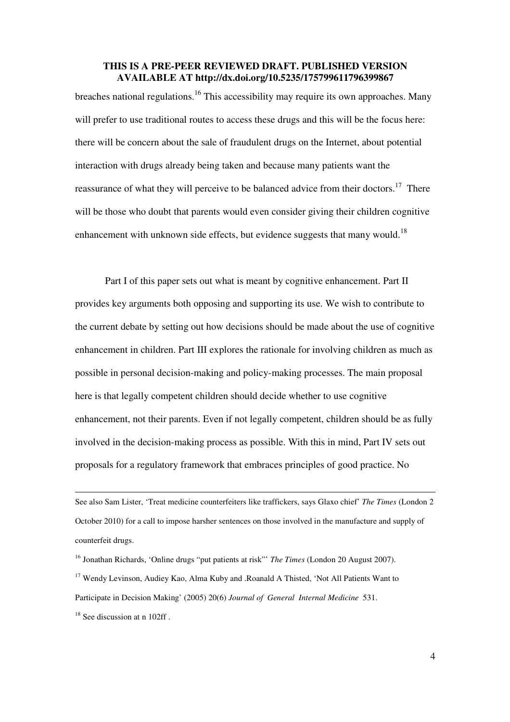breaches national regulations.<sup>16</sup> This accessibility may require its own approaches. Many will prefer to use traditional routes to access these drugs and this will be the focus here: there will be concern about the sale of fraudulent drugs on the Internet, about potential interaction with drugs already being taken and because many patients want the reassurance of what they will perceive to be balanced advice from their doctors.<sup>17</sup> There will be those who doubt that parents would even consider giving their children cognitive enhancement with unknown side effects, but evidence suggests that many would.<sup>18</sup>

Part I of this paper sets out what is meant by cognitive enhancement. Part II provides key arguments both opposing and supporting its use. We wish to contribute to the current debate by setting out how decisions should be made about the use of cognitive enhancement in children. Part III explores the rationale for involving children as much as possible in personal decision-making and policy-making processes. The main proposal here is that legally competent children should decide whether to use cognitive enhancement, not their parents. Even if not legally competent, children should be as fully involved in the decision-making process as possible. With this in mind, Part IV sets out proposals for a regulatory framework that embraces principles of good practice. No

See also Sam Lister, 'Treat medicine counterfeiters like traffickers, says Glaxo chief' *The Times* (London 2 October 2010) for a call to impose harsher sentences on those involved in the manufacture and supply of counterfeit drugs.

<sup>16</sup> Jonathan Richards, 'Online drugs "put patients at risk"' *The Times* (London 20 August 2007).

<sup>&</sup>lt;sup>17</sup> Wendy Levinson, Audiey Kao, Alma Kuby and .Roanald A Thisted, 'Not All Patients Want to Participate in Decision Making' (2005) 20(6) *Journal of General Internal Medicine* 531.

 $18$  See discussion at n 102ff.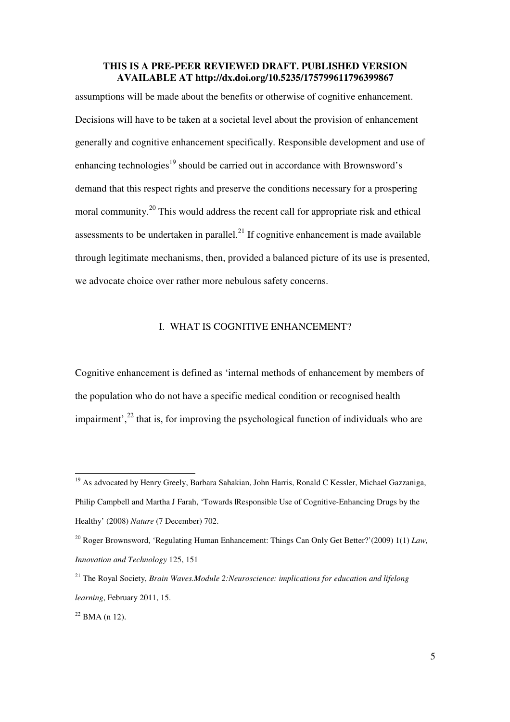assumptions will be made about the benefits or otherwise of cognitive enhancement. Decisions will have to be taken at a societal level about the provision of enhancement generally and cognitive enhancement specifically. Responsible development and use of enhancing technologies<sup>19</sup> should be carried out in accordance with Brownsword's demand that this respect rights and preserve the conditions necessary for a prospering moral community.<sup>20</sup> This would address the recent call for appropriate risk and ethical assessments to be undertaken in parallel. $^{21}$  If cognitive enhancement is made available through legitimate mechanisms, then, provided a balanced picture of its use is presented, we advocate choice over rather more nebulous safety concerns.

## I. WHAT IS COGNITIVE ENHANCEMENT?

Cognitive enhancement is defined as 'internal methods of enhancement by members of the population who do not have a specific medical condition or recognised health impairment', $^{22}$  that is, for improving the psychological function of individuals who are

<sup>&</sup>lt;sup>19</sup> As advocated by Henry Greely, Barbara Sahakian, John Harris, Ronald C Kessler, Michael Gazzaniga, Philip Campbell and Martha J Farah, 'Towards |Responsible Use of Cognitive-Enhancing Drugs by the Healthy' (2008) *Nature* (7 December) 702.

<sup>20</sup> Roger Brownsword, 'Regulating Human Enhancement: Things Can Only Get Better?'(2009) 1(1) *Law, Innovation and Technology* 125, 151

<sup>21</sup> The Royal Society, *Brain Waves.Module 2:Neuroscience: implications for education and lifelong learning*, February 2011, 15.

 $22$  BMA (n 12).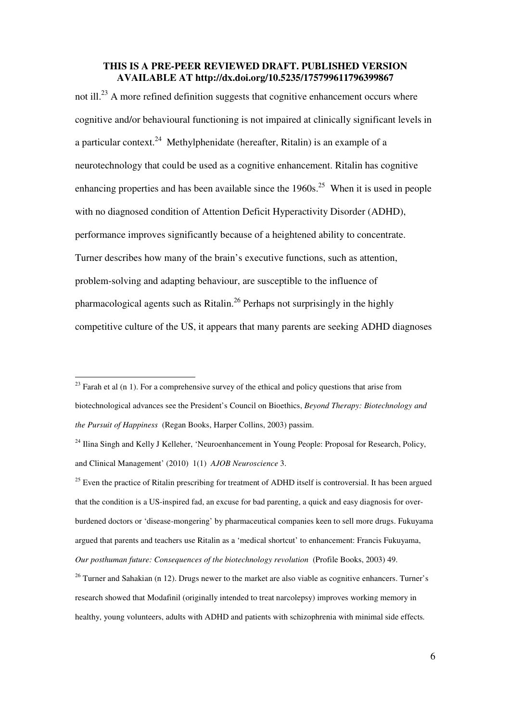not ill.<sup>23</sup> A more refined definition suggests that cognitive enhancement occurs where cognitive and/or behavioural functioning is not impaired at clinically significant levels in a particular context.<sup>24</sup> Methylphenidate (hereafter, Ritalin) is an example of a neurotechnology that could be used as a cognitive enhancement. Ritalin has cognitive enhancing properties and has been available since the  $1960s$ <sup>25</sup> When it is used in people with no diagnosed condition of Attention Deficit Hyperactivity Disorder (ADHD), performance improves significantly because of a heightened ability to concentrate. Turner describes how many of the brain's executive functions, such as attention, problem-solving and adapting behaviour, are susceptible to the influence of pharmacological agents such as Ritalin.<sup>26</sup> Perhaps not surprisingly in the highly competitive culture of the US, it appears that many parents are seeking ADHD diagnoses

-

<sup>25</sup> Even the practice of Ritalin prescribing for treatment of ADHD itself is controversial. It has been argued that the condition is a US-inspired fad, an excuse for bad parenting, a quick and easy diagnosis for overburdened doctors or 'disease-mongering' by pharmaceutical companies keen to sell more drugs. Fukuyama argued that parents and teachers use Ritalin as a 'medical shortcut' to enhancement: Francis Fukuyama, *Our posthuman future: Consequences of the biotechnology revolution* (Profile Books, 2003) 49.

 $26$  Turner and Sahakian (n 12). Drugs newer to the market are also viable as cognitive enhancers. Turner's research showed that Modafinil (originally intended to treat narcolepsy) improves working memory in healthy, young volunteers, adults with ADHD and patients with schizophrenia with minimal side effects*.*

 $23$  Farah et al (n 1). For a comprehensive survey of the ethical and policy questions that arise from biotechnological advances see the President's Council on Bioethics, *Beyond Therapy: Biotechnology and the Pursuit of Happiness* (Regan Books, Harper Collins, 2003) passim.

<sup>&</sup>lt;sup>24</sup> Ilina Singh and Kelly J Kelleher, 'Neuroenhancement in Young People: Proposal for Research, Policy, and Clinical Management' (2010) 1(1) *AJOB Neuroscience* 3.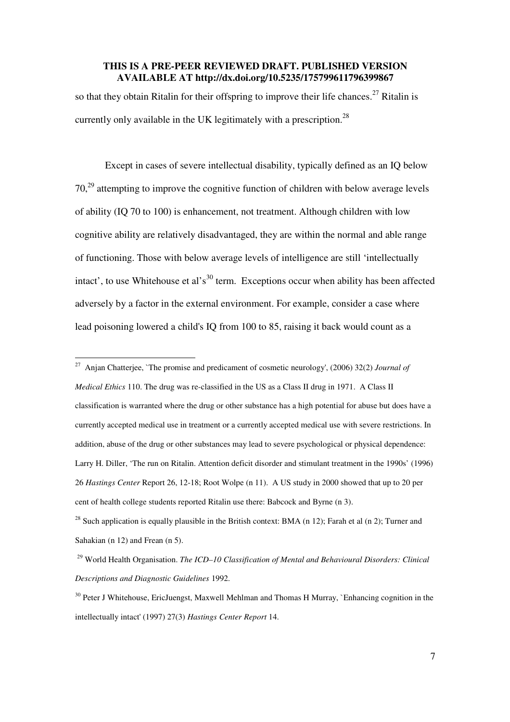so that they obtain Ritalin for their offspring to improve their life chances.<sup>27</sup> Ritalin is currently only available in the UK legitimately with a prescription.<sup>28</sup>

Except in cases of severe intellectual disability, typically defined as an IQ below 70,<sup>29</sup> attempting to improve the cognitive function of children with below average levels of ability (IQ 70 to 100) is enhancement, not treatment. Although children with low cognitive ability are relatively disadvantaged, they are within the normal and able range of functioning. Those with below average levels of intelligence are still 'intellectually intact', to use Whitehouse et al's<sup>30</sup> term. Exceptions occur when ability has been affected adversely by a factor in the external environment. For example, consider a case where lead poisoning lowered a child's IQ from 100 to 85, raising it back would count as a

<sup>27</sup> Anjan Chatterjee, `The promise and predicament of cosmetic neurology', (2006) 32(2) *Journal of Medical Ethics* 110. The drug was re-classified in the US as a Class II drug in 1971. A Class II classification is warranted where the drug or other substance has a high potential for abuse but does have a currently accepted medical use in treatment or a currently accepted medical use with severe restrictions. In addition, abuse of the drug or other substances may lead to severe psychological or physical dependence: Larry H. Diller, 'The run on Ritalin. Attention deficit disorder and stimulant treatment in the 1990s' (1996) 26 *Hastings Center* Report 26, 12-18; Root Wolpe (n 11). A US study in 2000 showed that up to 20 per cent of health college students reported Ritalin use there: Babcock and Byrne (n 3).

<sup>&</sup>lt;sup>28</sup> Such application is equally plausible in the British context: BMA (n 12); Farah et al (n 2); Turner and Sahakian (n 12) and Frean (n 5).

<sup>29</sup> World Health Organisation. *The ICD–10 Classification of Mental and Behavioural Disorders: Clinical Descriptions and Diagnostic Guidelines* 1992.

<sup>&</sup>lt;sup>30</sup> Peter J Whitehouse, EricJuengst, Maxwell Mehlman and Thomas H Murray, `Enhancing cognition in the intellectually intact' (1997) 27(3) *Hastings Center Report* 14.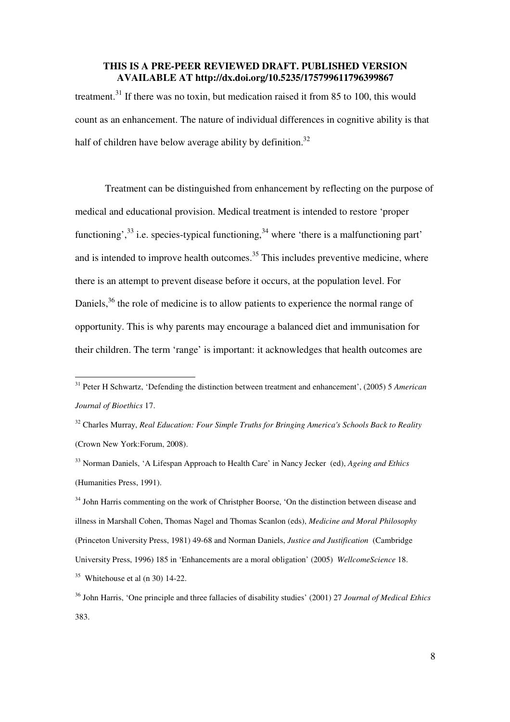treatment.<sup>31</sup> If there was no toxin, but medication raised it from 85 to 100, this would count as an enhancement. The nature of individual differences in cognitive ability is that half of children have below average ability by definition.<sup>32</sup>

Treatment can be distinguished from enhancement by reflecting on the purpose of medical and educational provision. Medical treatment is intended to restore 'proper functioning',  $33$  i.e. species-typical functioning,  $34$  where 'there is a malfunctioning part' and is intended to improve health outcomes.<sup>35</sup> This includes preventive medicine, where there is an attempt to prevent disease before it occurs, at the population level. For Daniels,<sup>36</sup> the role of medicine is to allow patients to experience the normal range of opportunity. This is why parents may encourage a balanced diet and immunisation for their children. The term 'range' is important: it acknowledges that health outcomes are

-

<sup>32</sup> Charles Murray, *Real Education: Four Simple Truths for Bringing America's Schools Back to Reality*  (Crown New York:Forum, 2008).

<sup>33</sup> Norman Daniels, 'A Lifespan Approach to Health Care' in Nancy Jecker (ed), *Ageing and Ethics* (Humanities Press, 1991).

<sup>34</sup> John Harris commenting on the work of Christpher Boorse, 'On the distinction between disease and illness in Marshall Cohen, Thomas Nagel and Thomas Scanlon (eds), *Medicine and Moral Philosophy*  (Princeton University Press, 1981) 49-68 and Norman Daniels, *Justice and Justification* (Cambridge University Press, 1996) 185 in 'Enhancements are a moral obligation' (2005) *WellcomeScience* 18.  $35$  Whitehouse et al (n 30) 14-22.

<sup>31</sup> Peter H Schwartz, 'Defending the distinction between treatment and enhancement', (2005) 5 *American Journal of Bioethics* 17.

<sup>36</sup> John Harris, 'One principle and three fallacies of disability studies' (2001) 27 *Journal of Medical Ethics*  383.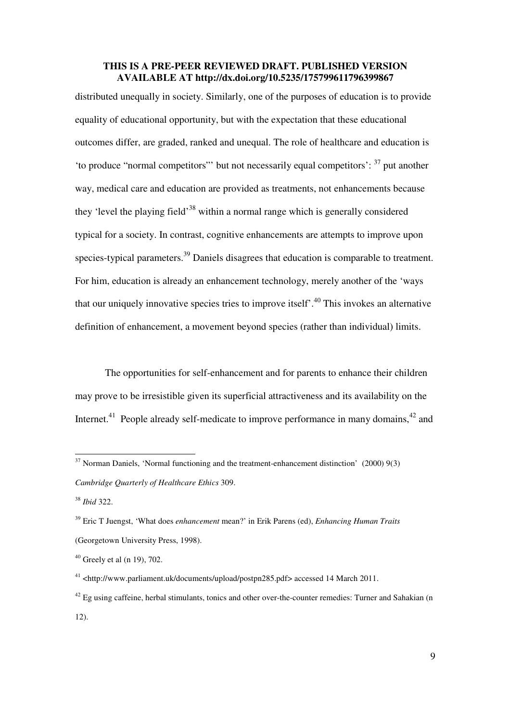distributed unequally in society. Similarly, one of the purposes of education is to provide equality of educational opportunity, but with the expectation that these educational outcomes differ, are graded, ranked and unequal. The role of healthcare and education is 'to produce "normal competitors"' but not necessarily equal competitors': <sup>37</sup> put another way, medical care and education are provided as treatments, not enhancements because they 'level the playing field'<sup>38</sup> within a normal range which is generally considered typical for a society. In contrast, cognitive enhancements are attempts to improve upon species-typical parameters.<sup>39</sup> Daniels disagrees that education is comparable to treatment. For him, education is already an enhancement technology, merely another of the 'ways that our uniquely innovative species tries to improve itself.<sup>40</sup> This invokes an alternative definition of enhancement, a movement beyond species (rather than individual) limits.

The opportunities for self-enhancement and for parents to enhance their children may prove to be irresistible given its superficial attractiveness and its availability on the Internet.<sup>41</sup> People already self-medicate to improve performance in many domains.<sup>42</sup> and

 $37$  Norman Daniels, 'Normal functioning and the treatment-enhancement distinction' (2000) 9(3) *Cambridge Quarterly of Healthcare Ethics* 309.

<sup>38</sup> *Ibid* 322.

<sup>39</sup> Eric T Juengst, 'What does *enhancement* mean?' in Erik Parens (ed), *Enhancing Human Traits* (Georgetown University Press, 1998).

 $40$  Greely et al (n 19), 702.

<sup>41</sup> <http://www.parliament.uk/documents/upload/postpn285.pdf> accessed 14 March 2011.

 $42$  Eg using caffeine, herbal stimulants, tonics and other over-the-counter remedies: Turner and Sahakian (n 12).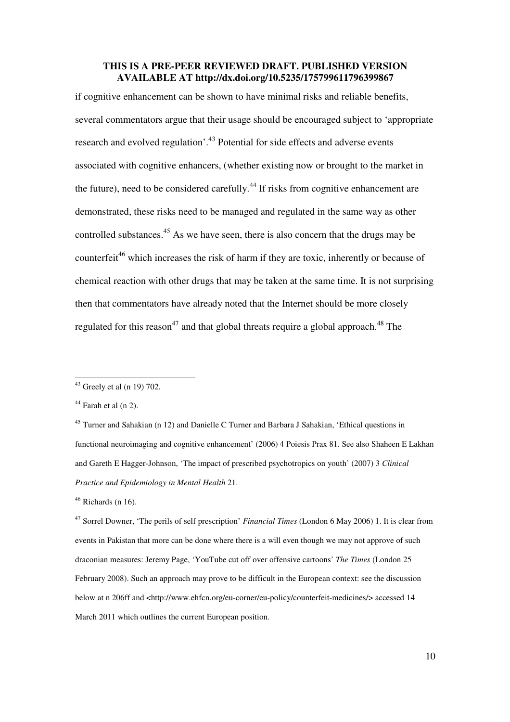if cognitive enhancement can be shown to have minimal risks and reliable benefits, several commentators argue that their usage should be encouraged subject to 'appropriate research and evolved regulation'.<sup>43</sup> Potential for side effects and adverse events associated with cognitive enhancers, (whether existing now or brought to the market in the future), need to be considered carefully.<sup>44</sup> If risks from cognitive enhancement are demonstrated, these risks need to be managed and regulated in the same way as other controlled substances.<sup>45</sup> As we have seen, there is also concern that the drugs may be counterfeit<sup>46</sup> which increases the risk of harm if they are toxic, inherently or because of chemical reaction with other drugs that may be taken at the same time. It is not surprising then that commentators have already noted that the Internet should be more closely regulated for this reason<sup>47</sup> and that global threats require a global approach.<sup>48</sup> The

 $43$  Greely et al (n 19) 702.

 $44$  Farah et al (n 2).

<sup>&</sup>lt;sup>45</sup> Turner and Sahakian (n 12) and Danielle C Turner and Barbara J Sahakian, 'Ethical questions in functional neuroimaging and cognitive enhancement' (2006) 4 Poiesis Prax 81. See also Shaheen E Lakhan and Gareth E Hagger-Johnson, 'The impact of prescribed psychotropics on youth' (2007) 3 *Clinical Practice and Epidemiology in Mental Health* 21.

 $46$  Richards (n 16).

<sup>47</sup> Sorrel Downer, 'The perils of self prescription' *Financial Times* (London 6 May 2006) 1. It is clear from events in Pakistan that more can be done where there is a will even though we may not approve of such draconian measures: Jeremy Page, 'YouTube cut off over offensive cartoons' *The Times* (London 25 February 2008). Such an approach may prove to be difficult in the European context: see the discussion below at n 206ff and <http://www.ehfcn.org/eu-corner/eu-policy/counterfeit-medicines/> accessed 14 March 2011 which outlines the current European position*.*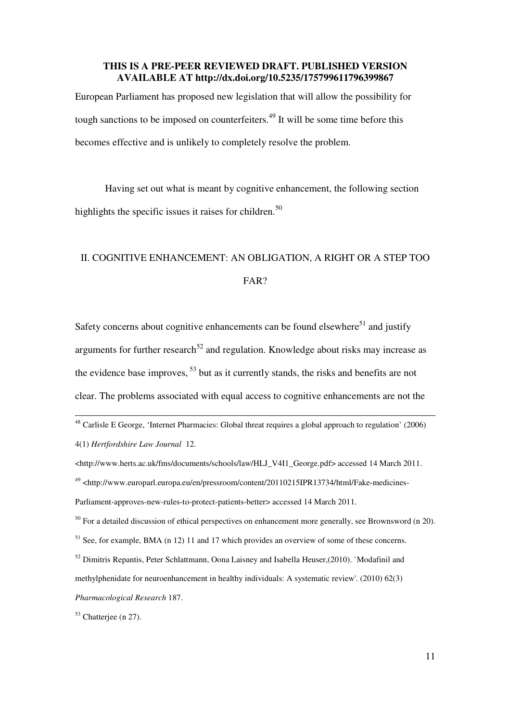European Parliament has proposed new legislation that will allow the possibility for tough sanctions to be imposed on counterfeiters.<sup>49</sup> It will be some time before this becomes effective and is unlikely to completely resolve the problem.

Having set out what is meant by cognitive enhancement, the following section highlights the specific issues it raises for children.<sup>50</sup>

# II. COGNITIVE ENHANCEMENT: AN OBLIGATION, A RIGHT OR A STEP TOO FAR?

Safety concerns about cognitive enhancements can be found elsewhere<sup>51</sup> and justify arguments for further research<sup>52</sup> and regulation. Knowledge about risks may increase as the evidence base improves,  $53$  but as it currently stands, the risks and benefits are not clear. The problems associated with equal access to cognitive enhancements are not the

- <sup>51</sup> See, for example, BMA (n 12) 11 and 17 which provides an overview of some of these concerns.
- $52$  Dimitris Repantis, Peter Schlattmann, Oona Laisney and Isabella Heuser,(2010). `Modafinil and
- methylphenidate for neuroenhancement in healthy individuals: A systematic review'. (2010) 62(3)

l

 $48$  Carlisle E George, 'Internet Pharmacies: Global threat requires a global approach to regulation' (2006) 4(1) *Hertfordshire Law Journal* 12.

<sup>&</sup>lt;http://www.herts.ac.uk/fms/documents/schools/law/HLJ\_V4I1\_George.pdf> accessed 14 March 2011.

<sup>49</sup> <http://www.europarl.europa.eu/en/pressroom/content/20110215IPR13734/html/Fake-medicines-Parliament-approves-new-rules-to-protect-patients-better> accessed 14 March 2011.

 $50$  For a detailed discussion of ethical perspectives on enhancement more generally, see Brownsword (n 20).

*Pharmacological Research* 187.

 $53$  Chatteriee (n 27).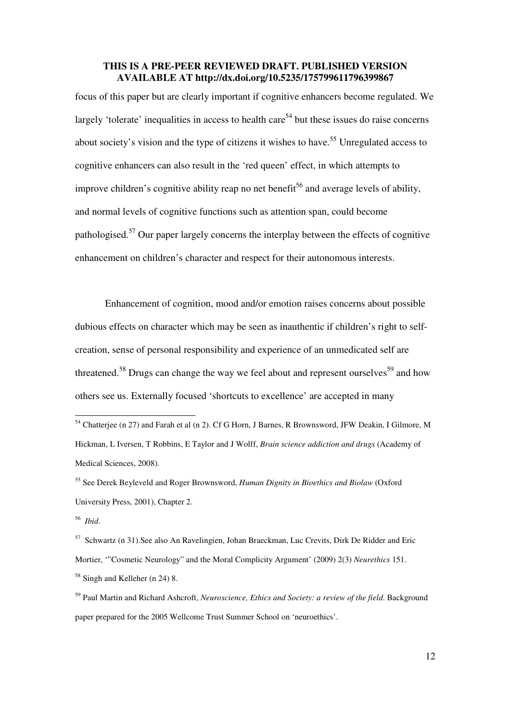focus of this paper but are clearly important if cognitive enhancers become regulated. We largely 'tolerate' inequalities in access to health care<sup>54</sup> but these issues do raise concerns about society's vision and the type of citizens it wishes to have.<sup>55</sup> Unregulated access to cognitive enhancers can also result in the 'red queen' effect, in which attempts to improve children's cognitive ability reap no net benefit<sup>56</sup> and average levels of ability, and normal levels of cognitive functions such as attention span, could become pathologised.<sup>57</sup> Our paper largely concerns the interplay between the effects of cognitive enhancement on children's character and respect for their autonomous interests.

Enhancement of cognition, mood and/or emotion raises concerns about possible dubious effects on character which may be seen as inauthentic if children's right to selfcreation, sense of personal responsibility and experience of an unmedicated self are threatened.<sup>58</sup> Drugs can change the way we feel about and represent ourselves<sup>59</sup> and how others see us. Externally focused 'shortcuts to excellence' are accepted in many

<sup>&</sup>lt;sup>54</sup> Chatterjee (n 27) and Farah et al (n 2). Cf G Horn, J Barnes, R Brownsword, JFW Deakin, I Gilmore, M Hickman, L Iversen, T Robbins, E Taylor and J Wolff, *Brain science addiction and drugs* (Academy of Medical Sciences, 2008).

<sup>55</sup> See Derek Beyleveld and Roger Brownsword, *Human Dignity in Bioethics and Biolaw* (Oxford University Press, 2001), Chapter 2.

<sup>56</sup> *Ibid*.

<sup>57</sup> Schwartz (n 31).See also An Ravelingien, Johan Braeckman, Luc Crevits, Dirk De Ridder and Eric Mortier, '"Cosmetic Neurology" and the Moral Complicity Argument' (2009) 2(3) *Neurethics* 151. <sup>58</sup> Singh and Kelleher (n 24) 8.

<sup>59</sup> Paul Martin and Richard Ashcroft, *Neuroscience, Ethics and Society: a review of the field*. Background paper prepared for the 2005 Wellcome Trust Summer School on 'neuroethics'.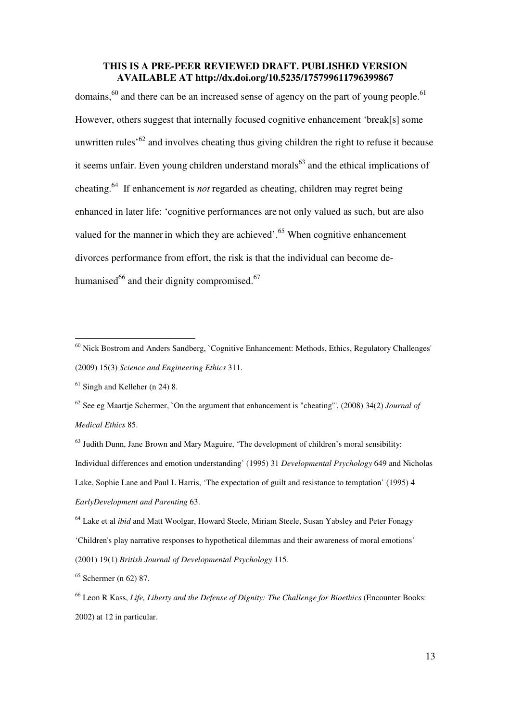domains,<sup>60</sup> and there can be an increased sense of agency on the part of young people.<sup>61</sup> However, others suggest that internally focused cognitive enhancement 'break[s] some unwritten rules<sup> $62$ </sup> and involves cheating thus giving children the right to refuse it because it seems unfair. Even young children understand morals $63$  and the ethical implications of cheating.<sup>64</sup> If enhancement is *not* regarded as cheating, children may regret being enhanced in later life: 'cognitive performances are not only valued as such, but are also valued for the manner in which they are achieved'.<sup>65</sup> When cognitive enhancement divorces performance from effort, the risk is that the individual can become dehumanised $^{66}$  and their dignity compromised.<sup>67</sup>

-

<sup>62</sup> See eg Maartje Schermer, `On the argument that enhancement is "cheating"', (2008) 34(2) *Journal of Medical Ethics* 85.

<sup>&</sup>lt;sup>60</sup> Nick Bostrom and Anders Sandberg, `Cognitive Enhancement: Methods, Ethics, Regulatory Challenges' (2009) 15(3) *Science and Engineering Ethics* 311.

 $61$  Singh and Kelleher (n 24) 8.

<sup>&</sup>lt;sup>63</sup> Judith Dunn, Jane Brown and Mary Maguire, 'The development of children's moral sensibility: Individual differences and emotion understanding' (1995) 31 *Developmental Psychology* 649 and Nicholas Lake, Sophie Lane and Paul L Harris, 'The expectation of guilt and resistance to temptation' (1995) 4 *EarlyDevelopment and Parenting* 63.

<sup>64</sup> Lake et al *ibid* and Matt Woolgar, Howard Steele, Miriam Steele, Susan Yabsley and Peter Fonagy 'Children's play narrative responses to hypothetical dilemmas and their awareness of moral emotions' (2001) 19(1) *British Journal of Developmental Psychology* 115.

<sup>65</sup> Schermer (n 62) 87.

<sup>66</sup> Leon R Kass, *Life, Liberty and the Defense of Dignity: The Challenge for Bioethics* (Encounter Books: 2002) at 12 in particular.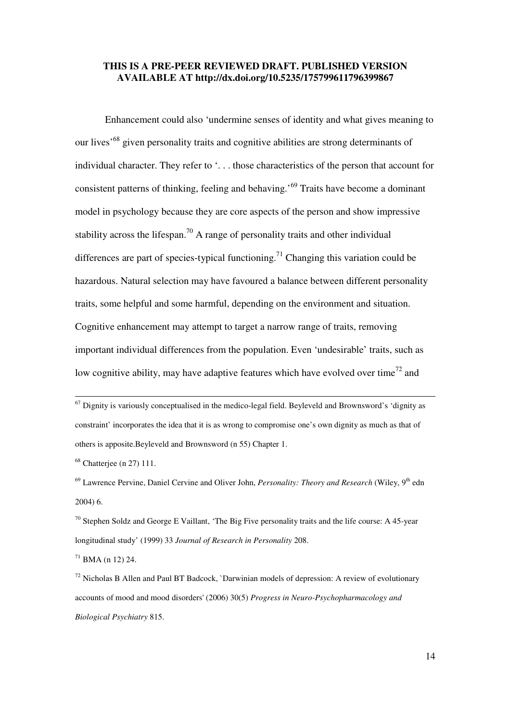Enhancement could also 'undermine senses of identity and what gives meaning to our lives<sup>'68</sup> given personality traits and cognitive abilities are strong determinants of individual character. They refer to '. . . those characteristics of the person that account for consistent patterns of thinking, feeling and behaving.'<sup>69</sup> Traits have become a dominant model in psychology because they are core aspects of the person and show impressive stability across the lifespan.<sup>70</sup> A range of personality traits and other individual differences are part of species-typical functioning.<sup>71</sup> Changing this variation could be hazardous. Natural selection may have favoured a balance between different personality traits, some helpful and some harmful, depending on the environment and situation. Cognitive enhancement may attempt to target a narrow range of traits, removing important individual differences from the population. Even 'undesirable' traits, such as low cognitive ability, may have adaptive features which have evolved over time<sup>72</sup> and

l

 $71$  BMA (n 12) 24.

 $67$  Dignity is variously conceptualised in the medico-legal field. Beyleveld and Brownsword's 'dignity as constraint' incorporates the idea that it is as wrong to compromise one's own dignity as much as that of others is apposite.Beyleveld and Brownsword (n 55) Chapter 1.

<sup>68</sup> Chatterjee (n 27) 111.

<sup>&</sup>lt;sup>69</sup> Lawrence Pervine, Daniel Cervine and Oliver John, *Personality: Theory and Research* (Wiley, 9<sup>th</sup> edn 2004) 6.

 $70$  Stephen Soldz and George E Vaillant, 'The Big Five personality traits and the life course: A 45-year longitudinal study' (1999) 33 *Journal of Research in Personality* 208.

 $72$  Nicholas B Allen and Paul BT Badcock, `Darwinian models of depression: A review of evolutionary accounts of mood and mood disorders' (2006) 30(5) *Progress in Neuro-Psychopharmacology and Biological Psychiatry* 815.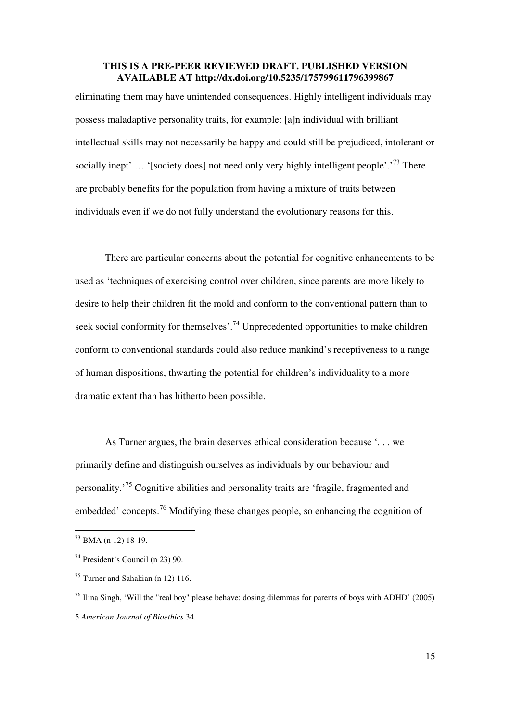eliminating them may have unintended consequences. Highly intelligent individuals may possess maladaptive personality traits, for example: [a]n individual with brilliant intellectual skills may not necessarily be happy and could still be prejudiced, intolerant or socially inept' ... '[society does] not need only very highly intelligent people'.<sup>73</sup> There are probably benefits for the population from having a mixture of traits between individuals even if we do not fully understand the evolutionary reasons for this.

There are particular concerns about the potential for cognitive enhancements to be used as 'techniques of exercising control over children, since parents are more likely to desire to help their children fit the mold and conform to the conventional pattern than to seek social conformity for themselves'.<sup>74</sup> Unprecedented opportunities to make children conform to conventional standards could also reduce mankind's receptiveness to a range of human dispositions, thwarting the potential for children's individuality to a more dramatic extent than has hitherto been possible.

As Turner argues, the brain deserves ethical consideration because '. . . we primarily define and distinguish ourselves as individuals by our behaviour and personality.'<sup>75</sup> Cognitive abilities and personality traits are 'fragile, fragmented and embedded' concepts.<sup>76</sup> Modifying these changes people, so enhancing the cognition of

<sup>73</sup> BMA (n 12) 18-19.

<sup>74</sup> President's Council (n 23) 90.

<sup>75</sup> Turner and Sahakian (n 12) 116.

<sup>&</sup>lt;sup>76</sup> Ilina Singh, 'Will the "real boy" please behave: dosing dilemmas for parents of boys with ADHD' (2005) 5 *American Journal of Bioethics* 34.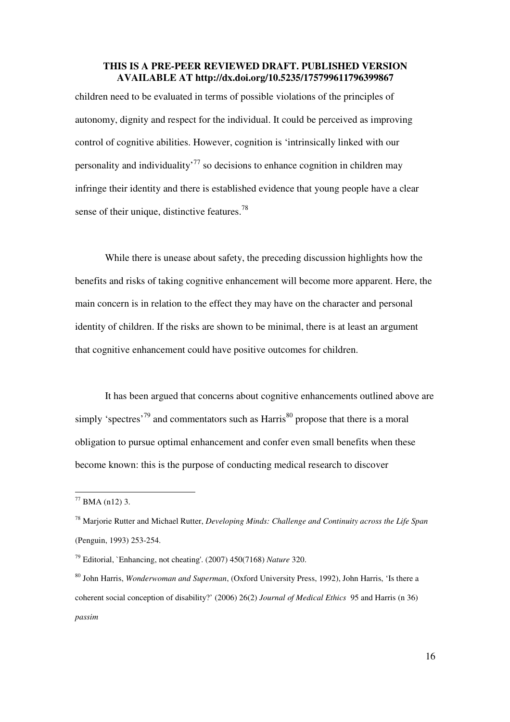children need to be evaluated in terms of possible violations of the principles of autonomy, dignity and respect for the individual. It could be perceived as improving control of cognitive abilities. However, cognition is 'intrinsically linked with our personality and individuality<sup>77</sup> so decisions to enhance cognition in children may infringe their identity and there is established evidence that young people have a clear sense of their unique, distinctive features. $^{78}$ 

While there is unease about safety, the preceding discussion highlights how the benefits and risks of taking cognitive enhancement will become more apparent. Here, the main concern is in relation to the effect they may have on the character and personal identity of children. If the risks are shown to be minimal, there is at least an argument that cognitive enhancement could have positive outcomes for children.

It has been argued that concerns about cognitive enhancements outlined above are simply 'spectres'<sup>79</sup> and commentators such as Harris<sup>80</sup> propose that there is a moral obligation to pursue optimal enhancement and confer even small benefits when these become known: this is the purpose of conducting medical research to discover

 $77$  BMA (n12) 3.

<sup>78</sup> Marjorie Rutter and Michael Rutter, *Developing Minds: Challenge and Continuity across the Life Span* (Penguin, 1993) 253-254.

<sup>79</sup> Editorial, `Enhancing, not cheating'. (2007) 450(7168) *Nature* 320.

<sup>80</sup> John Harris, *Wonderwoman and Superman*, (Oxford University Press, 1992), John Harris, 'Is there a coherent social conception of disability?' (2006) 26(2) *Journal of Medical Ethics* 95 and Harris (n 36) *passim*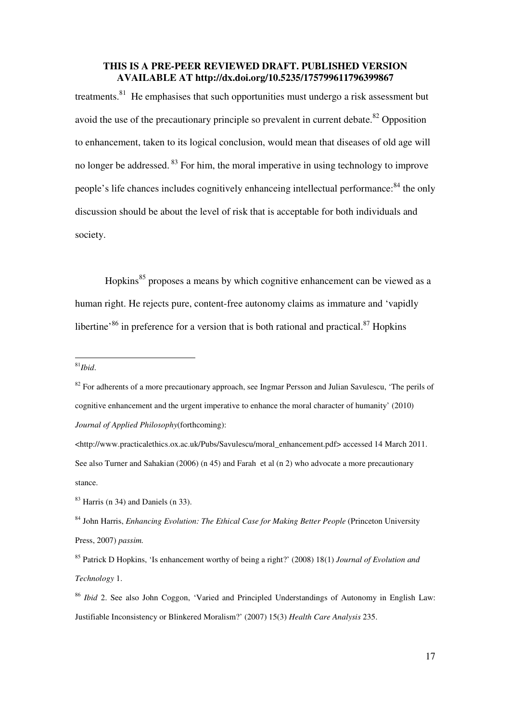treatments.<sup>81</sup> He emphasises that such opportunities must undergo a risk assessment but avoid the use of the precautionary principle so prevalent in current debate.<sup>82</sup> Opposition to enhancement, taken to its logical conclusion, would mean that diseases of old age will no longer be addressed.<sup>83</sup> For him, the moral imperative in using technology to improve people's life chances includes cognitively enhanceing intellectual performance:<sup>84</sup> the only discussion should be about the level of risk that is acceptable for both individuals and society.

Hopkins<sup>85</sup> proposes a means by which cognitive enhancement can be viewed as a human right. He rejects pure, content-free autonomy claims as immature and 'vapidly libertine<sup>86</sup> in preference for a version that is both rational and practical.<sup>87</sup> Hopkins

-

<http://www.practicalethics.ox.ac.uk/Pubs/Savulescu/moral\_enhancement.pdf> accessed 14 March 2011. See also Turner and Sahakian (2006) (n 45) and Farah et al (n 2) who advocate a more precautionary stance.

<sup>81</sup>*Ibid*.

<sup>&</sup>lt;sup>82</sup> For adherents of a more precautionary approach, see Ingmar Persson and Julian Savulescu, 'The perils of cognitive enhancement and the urgent imperative to enhance the moral character of humanity' (2010) *Journal of Applied Philosophy*(forthcoming):

 $83$  Harris (n 34) and Daniels (n 33).

<sup>84</sup> John Harris, *Enhancing Evolution: The Ethical Case for Making Better People* (Princeton University Press, 2007) *passim.* 

<sup>85</sup> Patrick D Hopkins, 'Is enhancement worthy of being a right?' (2008) 18(1) *Journal of Evolution and Technology* 1.

<sup>86</sup> *Ibid* 2. See also John Coggon, 'Varied and Principled Understandings of Autonomy in English Law: Justifiable Inconsistency or Blinkered Moralism?' (2007) 15(3) *Health Care Analysis* 235.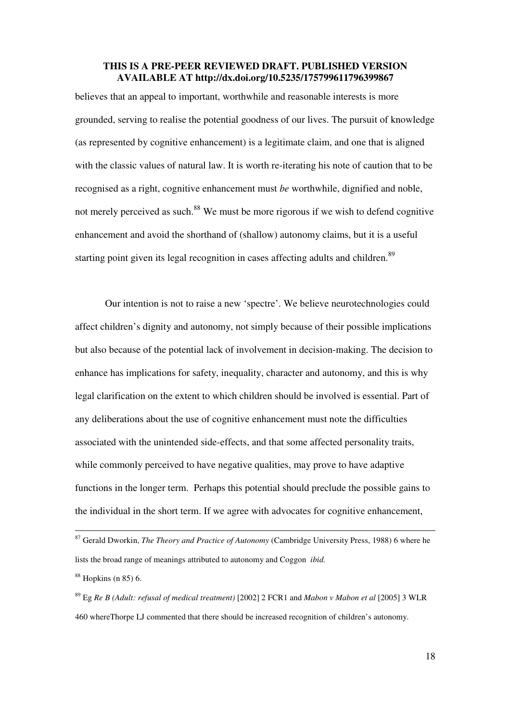believes that an appeal to important, worthwhile and reasonable interests is more grounded, serving to realise the potential goodness of our lives. The pursuit of knowledge (as represented by cognitive enhancement) is a legitimate claim, and one that is aligned with the classic values of natural law. It is worth re-iterating his note of caution that to be recognised as a right, cognitive enhancement must *be* worthwhile, dignified and noble, not merely perceived as such.<sup>88</sup> We must be more rigorous if we wish to defend cognitive enhancement and avoid the shorthand of (shallow) autonomy claims, but it is a useful starting point given its legal recognition in cases affecting adults and children.<sup>89</sup>

Our intention is not to raise a new 'spectre'. We believe neurotechnologies could affect children's dignity and autonomy, not simply because of their possible implications but also because of the potential lack of involvement in decision-making. The decision to enhance has implications for safety, inequality, character and autonomy, and this is why legal clarification on the extent to which children should be involved is essential. Part of any deliberations about the use of cognitive enhancement must note the difficulties associated with the unintended side-effects, and that some affected personality traits, while commonly perceived to have negative qualities, may prove to have adaptive functions in the longer term. Perhaps this potential should preclude the possible gains to the individual in the short term. If we agree with advocates for cognitive enhancement,

l

<sup>87</sup> Gerald Dworkin, *The Theory and Practice of Autonomy* (Cambridge University Press, 1988) 6 where he lists the broad range of meanings attributed to autonomy and Coggon *ibid.*

 $88$  Hopkins (n 85) 6.

<sup>89</sup> Eg *Re B (Adult: refusal of medical treatment)* [2002] 2 FCR1 and *Mabon v Mabon et al* [2005] 3 WLR 460 whereThorpe LJ commented that there should be increased recognition of children's autonomy.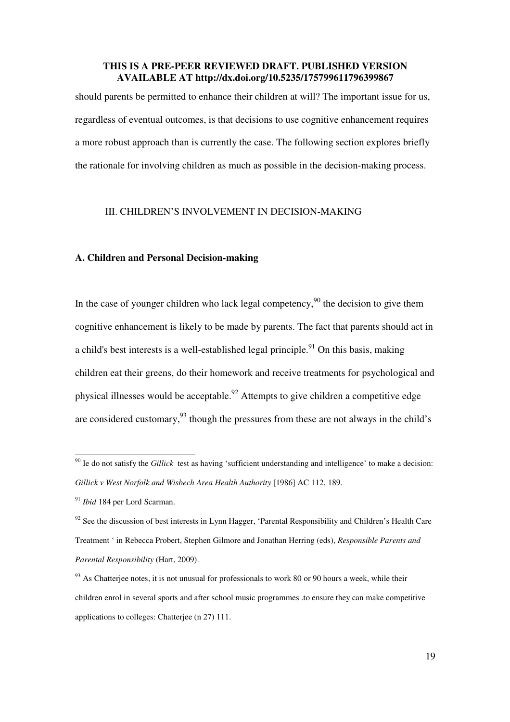should parents be permitted to enhance their children at will? The important issue for us, regardless of eventual outcomes, is that decisions to use cognitive enhancement requires a more robust approach than is currently the case. The following section explores briefly the rationale for involving children as much as possible in the decision-making process.

# III. CHILDREN'S INVOLVEMENT IN DECISION-MAKING

#### **A. Children and Personal Decision-making**

In the case of younger children who lack legal competency,<sup>90</sup> the decision to give them cognitive enhancement is likely to be made by parents. The fact that parents should act in a child's best interests is a well-established legal principle.<sup>91</sup> On this basis, making children eat their greens, do their homework and receive treatments for psychological and physical illnesses would be acceptable.<sup>92</sup> Attempts to give children a competitive edge are considered customary,  $93$  though the pressures from these are not always in the child's

<sup>90</sup> Ie do not satisfy the *Gillick* test as having 'sufficient understanding and intelligence' to make a decision: *Gillick v West Norfolk and Wisbech Area Health Authority* [1986] AC 112, 189.

<sup>91</sup> *Ibid* 184 per Lord Scarman.

 $92$  See the discussion of best interests in Lynn Hagger, 'Parental Responsibility and Children's Health Care Treatment ' in Rebecca Probert, Stephen Gilmore and Jonathan Herring (eds), *Responsible Parents and Parental Responsibility* (Hart, 2009).

 $93$  As Chatterjee notes, it is not unusual for professionals to work 80 or 90 hours a week, while their children enrol in several sports and after school music programmes .to ensure they can make competitive applications to colleges: Chatterjee (n 27) 111.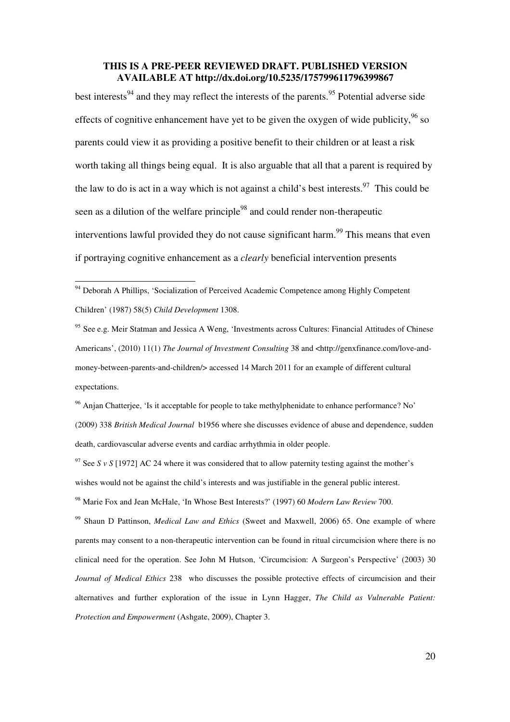best interests<sup>94</sup> and they may reflect the interests of the parents.<sup>95</sup> Potential adverse side effects of cognitive enhancement have yet to be given the oxygen of wide publicity,  $96$  so parents could view it as providing a positive benefit to their children or at least a risk worth taking all things being equal. It is also arguable that all that a parent is required by the law to do is act in a way which is not against a child's best interests.<sup>97</sup> This could be seen as a dilution of the welfare principle<sup>98</sup> and could render non-therapeutic interventions lawful provided they do not cause significant harm.<sup>99</sup> This means that even if portraying cognitive enhancement as a *clearly* beneficial intervention presents

-

<sup>96</sup> Anjan Chatterjee, 'Is it acceptable for people to take methylphenidate to enhance performance? No' (2009) 338 *British Medical Journal* b1956 where she discusses evidence of abuse and dependence, sudden death, cardiovascular adverse events and cardiac arrhythmia in older people.

<sup>97</sup> See *S v S* [1972] AC 24 where it was considered that to allow paternity testing against the mother's wishes would not be against the child's interests and was justifiable in the general public interest.

<sup>98</sup> Marie Fox and Jean McHale, 'In Whose Best Interests?' (1997) 60 *Modern Law Review* 700.

<sup>99</sup> Shaun D Pattinson, *Medical Law and Ethics* (Sweet and Maxwell, 2006) 65. One example of where parents may consent to a non-therapeutic intervention can be found in ritual circumcision where there is no clinical need for the operation. See John M Hutson, 'Circumcision: A Surgeon's Perspective' (2003) 30 *Journal of Medical Ethics* 238 who discusses the possible protective effects of circumcision and their alternatives and further exploration of the issue in Lynn Hagger, *The Child as Vulnerable Patient: Protection and Empowerment* (Ashgate, 2009), Chapter 3.

<sup>&</sup>lt;sup>94</sup> Deborah A Phillips, 'Socialization of Perceived Academic Competence among Highly Competent Children' (1987) 58(5) *Child Development* 1308.

<sup>95</sup> See e.g. Meir Statman and Jessica A Weng, 'Investments across Cultures: Financial Attitudes of Chinese Americans', (2010) 11(1) *The Journal of Investment Consulting* 38 and <http://genxfinance.com/love-andmoney-between-parents-and-children/> accessed 14 March 2011 for an example of different cultural expectations.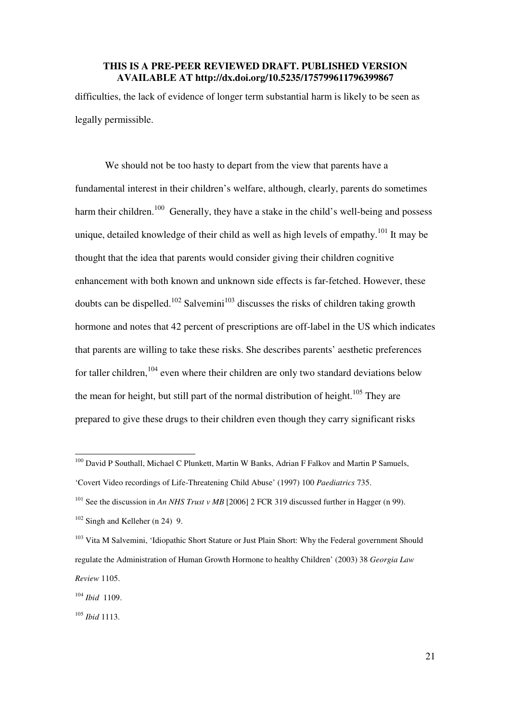difficulties, the lack of evidence of longer term substantial harm is likely to be seen as legally permissible.

We should not be too hasty to depart from the view that parents have a fundamental interest in their children's welfare, although, clearly, parents do sometimes harm their children.<sup>100</sup> Generally, they have a stake in the child's well-being and possess unique, detailed knowledge of their child as well as high levels of empathy.<sup>101</sup> It may be thought that the idea that parents would consider giving their children cognitive enhancement with both known and unknown side effects is far-fetched. However, these doubts can be dispelled.<sup>102</sup> Salvemini<sup>103</sup> discusses the risks of children taking growth hormone and notes that 42 percent of prescriptions are off-label in the US which indicates that parents are willing to take these risks. She describes parents' aesthetic preferences for taller children,  $104$  even where their children are only two standard deviations below the mean for height, but still part of the normal distribution of height.<sup>105</sup> They are prepared to give these drugs to their children even though they carry significant risks

<sup>&</sup>lt;sup>100</sup> David P Southall, Michael C Plunkett, Martin W Banks, Adrian F Falkov and Martin P Samuels,

<sup>&#</sup>x27;Covert Video recordings of Life-Threatening Child Abuse' (1997) 100 *Paediatrics* 735.

<sup>&</sup>lt;sup>101</sup> See the discussion in *An NHS Trust v MB* [2006] 2 FCR 319 discussed further in Hagger (n 99).  $102$  Singh and Kelleher (n 24) 9.

<sup>&</sup>lt;sup>103</sup> Vita M Salvemini, 'Idiopathic Short Stature or Just Plain Short: Why the Federal government Should regulate the Administration of Human Growth Hormone to healthy Children' (2003) 38 *Georgia Law Review* 1105.

<sup>104</sup> *Ibid* 1109.

<sup>105</sup> *Ibid* 1113.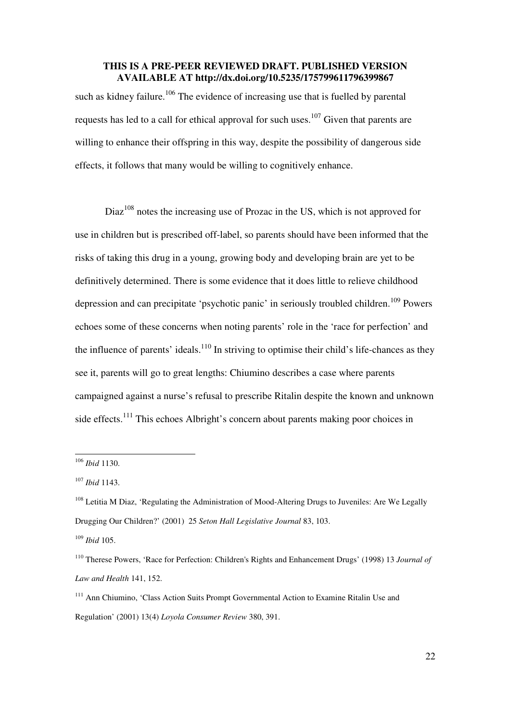such as kidney failure.<sup>106</sup> The evidence of increasing use that is fuelled by parental requests has led to a call for ethical approval for such uses.<sup>107</sup> Given that parents are willing to enhance their offspring in this way, despite the possibility of dangerous side effects, it follows that many would be willing to cognitively enhance.

Diaz<sup>108</sup> notes the increasing use of Prozac in the US, which is not approved for use in children but is prescribed off-label, so parents should have been informed that the risks of taking this drug in a young, growing body and developing brain are yet to be definitively determined. There is some evidence that it does little to relieve childhood depression and can precipitate 'psychotic panic' in seriously troubled children.<sup>109</sup> Powers echoes some of these concerns when noting parents' role in the 'race for perfection' and the influence of parents' ideals.<sup>110</sup> In striving to optimise their child's life-chances as they see it, parents will go to great lengths: Chiumino describes a case where parents campaigned against a nurse's refusal to prescribe Ritalin despite the known and unknown side effects.<sup>111</sup> This echoes Albright's concern about parents making poor choices in

<sup>106</sup> *Ibid* 1130.

<sup>107</sup> *Ibid* 1143.

<sup>&</sup>lt;sup>108</sup> Letitia M Diaz, 'Regulating the Administration of Mood-Altering Drugs to Juveniles: Are We Legally Drugging Our Children?' (2001) 25 *Seton Hall Legislative Journal* 83, 103.

<sup>109</sup> *Ibid* 105.

<sup>110</sup> Therese Powers, 'Race for Perfection: Children's Rights and Enhancement Drugs' (1998) 13 *Journal of Law and Health* 141, 152.

<sup>&</sup>lt;sup>111</sup> Ann Chiumino, 'Class Action Suits Prompt Governmental Action to Examine Ritalin Use and Regulation' (2001) 13(4) *Loyola Consumer Review* 380, 391.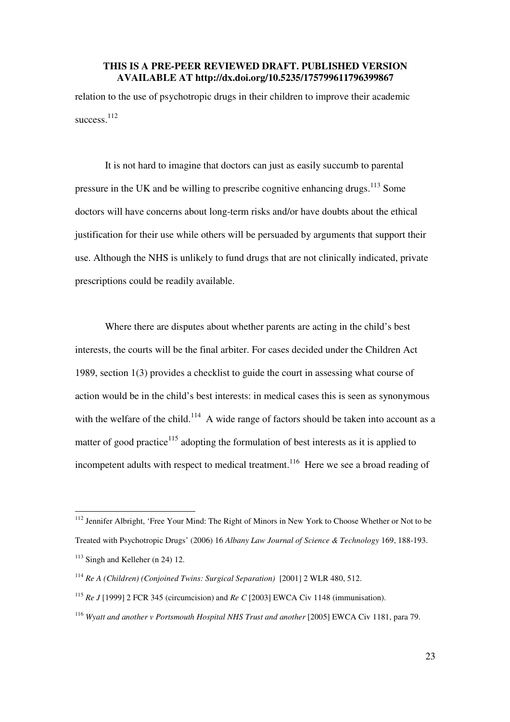relation to the use of psychotropic drugs in their children to improve their academic success.<sup>112</sup>

It is not hard to imagine that doctors can just as easily succumb to parental pressure in the UK and be willing to prescribe cognitive enhancing drugs.<sup>113</sup> Some doctors will have concerns about long-term risks and/or have doubts about the ethical justification for their use while others will be persuaded by arguments that support their use. Although the NHS is unlikely to fund drugs that are not clinically indicated, private prescriptions could be readily available.

Where there are disputes about whether parents are acting in the child's best interests, the courts will be the final arbiter. For cases decided under the Children Act 1989, section 1(3) provides a checklist to guide the court in assessing what course of action would be in the child's best interests: in medical cases this is seen as synonymous with the welfare of the child.<sup>114</sup> A wide range of factors should be taken into account as a matter of good practice $115$  adopting the formulation of best interests as it is applied to incompetent adults with respect to medical treatment.<sup>116</sup> Here we see a broad reading of

<sup>&</sup>lt;sup>112</sup> Jennifer Albright, 'Free Your Mind: The Right of Minors in New York to Choose Whether or Not to be Treated with Psychotropic Drugs' (2006) 16 *Albany Law Journal of Science & Technology* 169, 188-193.  $113$  Singh and Kelleher (n 24) 12.

<sup>&</sup>lt;sup>114</sup> *Re A (Children) (Conjoined Twins: Surgical Separation)* [2001] 2 WLR 480, 512.

<sup>115</sup> *Re J* [1999] 2 FCR 345 (circumcision) and *Re C* [2003] EWCA Civ 1148 (immunisation).

<sup>&</sup>lt;sup>116</sup> Wyatt and another v Portsmouth Hospital NHS Trust and another [2005] EWCA Civ 1181, para 79.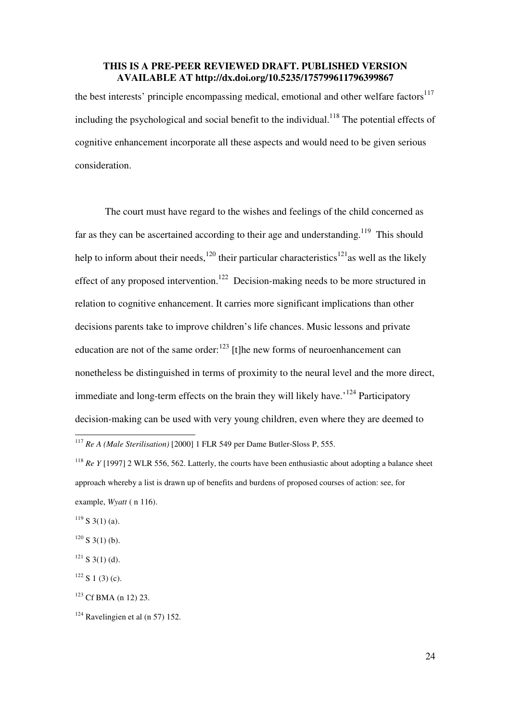the best interests' principle encompassing medical, emotional and other welfare factors<sup>117</sup> including the psychological and social benefit to the individual.<sup>118</sup> The potential effects of cognitive enhancement incorporate all these aspects and would need to be given serious consideration.

The court must have regard to the wishes and feelings of the child concerned as far as they can be ascertained according to their age and understanding.<sup>119</sup> This should help to inform about their needs,<sup>120</sup> their particular characteristics<sup>121</sup>as well as the likely effect of any proposed intervention.<sup>122</sup> Decision-making needs to be more structured in relation to cognitive enhancement. It carries more significant implications than other decisions parents take to improve children's life chances. Music lessons and private education are not of the same order: $^{123}$  [t]he new forms of neuroenhancement can nonetheless be distinguished in terms of proximity to the neural level and the more direct, immediate and long-term effects on the brain they will likely have.<sup> $124$ </sup> Participatory decision-making can be used with very young children, even where they are deemed to

 $119$  S 3(1) (a).

 $120$  S 3(1) (b).

<sup>-</sup><sup>117</sup> *Re A (Male Sterilisation)* [2000] 1 FLR 549 per Dame Butler-Sloss P, 555.

<sup>&</sup>lt;sup>118</sup> *Re Y* [1997] 2 WLR 556, 562. Latterly, the courts have been enthusiastic about adopting a balance sheet approach whereby a list is drawn up of benefits and burdens of proposed courses of action: see, for example, *Wyatt* ( n 116).

 $121$  S 3(1) (d).

 $122$  S 1 (3) (c).

<sup>123</sup> Cf BMA (n 12) 23.

 $124$  Ravelingien et al (n 57) 152.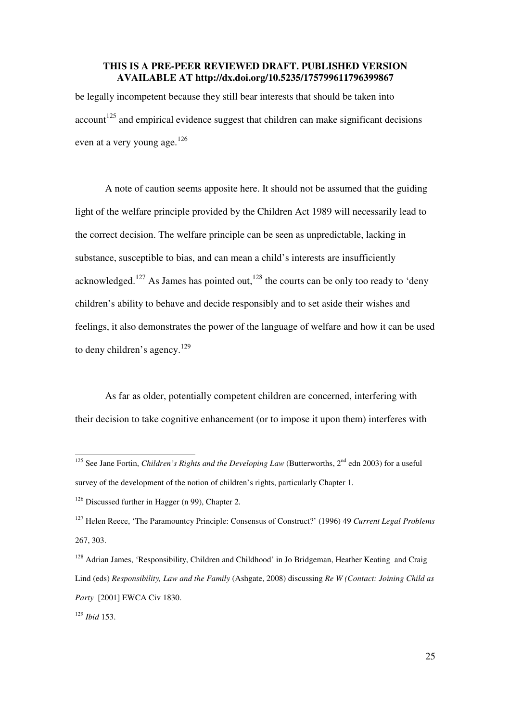be legally incompetent because they still bear interests that should be taken into  $account<sup>125</sup>$  and empirical evidence suggest that children can make significant decisions even at a very young age.<sup>126</sup>

A note of caution seems apposite here. It should not be assumed that the guiding light of the welfare principle provided by the Children Act 1989 will necessarily lead to the correct decision. The welfare principle can be seen as unpredictable, lacking in substance, susceptible to bias, and can mean a child's interests are insufficiently acknowledged.<sup>127</sup> As James has pointed out,<sup>128</sup> the courts can be only too ready to 'deny children's ability to behave and decide responsibly and to set aside their wishes and feelings, it also demonstrates the power of the language of welfare and how it can be used to deny children's agency.<sup>129</sup>

As far as older, potentially competent children are concerned, interfering with their decision to take cognitive enhancement (or to impose it upon them) interferes with

<sup>&</sup>lt;sup>125</sup> See Jane Fortin, *Children's Rights and the Developing Law* (Butterworths, 2<sup>nd</sup> edn 2003) for a useful survey of the development of the notion of children's rights, particularly Chapter 1.

<sup>&</sup>lt;sup>126</sup> Discussed further in Hagger (n 99), Chapter 2.

<sup>127</sup> Helen Reece, 'The Paramountcy Principle: Consensus of Construct?' (1996) 49 *Current Legal Problems* 267, 303.

<sup>&</sup>lt;sup>128</sup> Adrian James, 'Responsibility, Children and Childhood' in Jo Bridgeman, Heather Keating and Craig Lind (eds) *Responsibility, Law and the Family* (Ashgate, 2008) discussing *Re W (Contact: Joining Child as Party* [2001] EWCA Civ 1830.

<sup>129</sup> *Ibid* 153.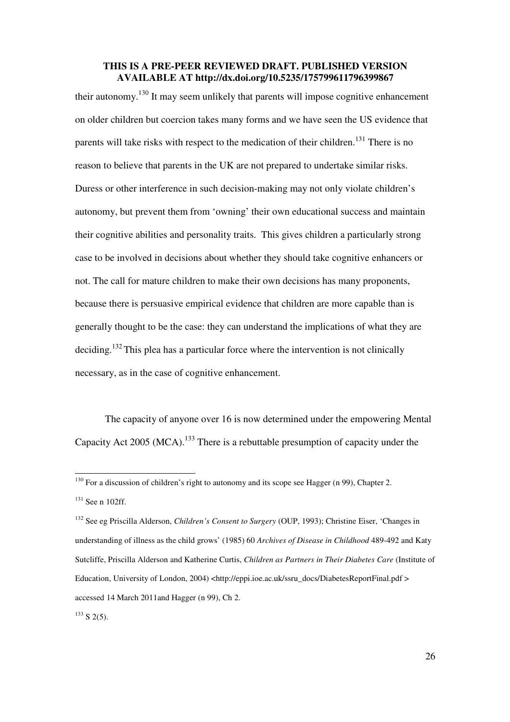their autonomy.<sup>130</sup> It may seem unlikely that parents will impose cognitive enhancement on older children but coercion takes many forms and we have seen the US evidence that parents will take risks with respect to the medication of their children.<sup>131</sup> There is no reason to believe that parents in the UK are not prepared to undertake similar risks. Duress or other interference in such decision-making may not only violate children's autonomy, but prevent them from 'owning' their own educational success and maintain their cognitive abilities and personality traits. This gives children a particularly strong case to be involved in decisions about whether they should take cognitive enhancers or not. The call for mature children to make their own decisions has many proponents, because there is persuasive empirical evidence that children are more capable than is generally thought to be the case: they can understand the implications of what they are deciding.<sup>132</sup> This plea has a particular force where the intervention is not clinically necessary, as in the case of cognitive enhancement.

 The capacity of anyone over 16 is now determined under the empowering Mental Capacity Act 2005 (MCA).<sup>133</sup> There is a rebuttable presumption of capacity under the

 $130$  For a discussion of children's right to autonomy and its scope see Hagger (n 99), Chapter 2. <sup>131</sup> See n 102ff.

<sup>132</sup> See eg Priscilla Alderson, *Children's Consent to Surgery* (OUP, 1993); Christine Eiser, 'Changes in understanding of illness as the child grows' (1985) 60 *Archives of Disease in Childhood* 489-492 and Katy Sutcliffe, Priscilla Alderson and Katherine Curtis, *Children as Partners in Their Diabetes Care* (Institute of Education, University of London, 2004) <http://eppi.ioe.ac.uk/ssru\_docs/DiabetesReportFinal.pdf > accessed 14 March 2011and Hagger (n 99), Ch 2.

 $133$  S 2(5).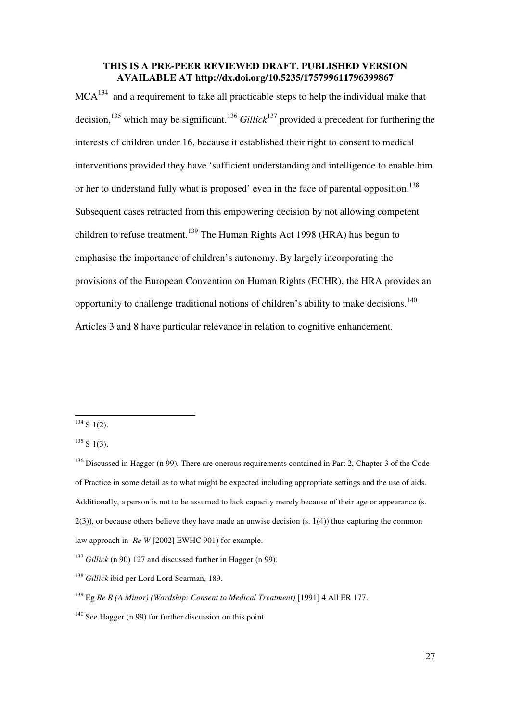$MCA<sup>134</sup>$  and a requirement to take all practicable steps to help the individual make that decision,<sup>135</sup> which may be significant.<sup>136</sup> *Gillick*<sup>137</sup> provided a precedent for furthering the interests of children under 16, because it established their right to consent to medical interventions provided they have 'sufficient understanding and intelligence to enable him or her to understand fully what is proposed' even in the face of parental opposition.<sup>138</sup> Subsequent cases retracted from this empowering decision by not allowing competent children to refuse treatment.<sup>139</sup> The Human Rights Act 1998 (HRA) has begun to emphasise the importance of children's autonomy. By largely incorporating the provisions of the European Convention on Human Rights (ECHR), the HRA provides an opportunity to challenge traditional notions of children's ability to make decisions.<sup>140</sup> Articles 3 and 8 have particular relevance in relation to cognitive enhancement.

 $134$  S 1(2).

 $135 S 1(3)$ .

<sup>&</sup>lt;sup>136</sup> Discussed in Hagger (n 99). There are onerous requirements contained in Part 2, Chapter 3 of the Code of Practice in some detail as to what might be expected including appropriate settings and the use of aids. Additionally, a person is not to be assumed to lack capacity merely because of their age or appearance (s.  $2(3)$ ), or because others believe they have made an unwise decision (s. 1(4)) thus capturing the common law approach in *Re W* [2002] EWHC 901) for example.

<sup>&</sup>lt;sup>137</sup> *Gillick* (n 90) 127 and discussed further in Hagger (n 99).

<sup>138</sup> *Gillick* ibid per Lord Lord Scarman, 189.

<sup>139</sup> Eg *Re R (A Minor) (Wardship: Consent to Medical Treatment)* [1991] 4 All ER 177.

<sup>&</sup>lt;sup>140</sup> See Hagger (n 99) for further discussion on this point.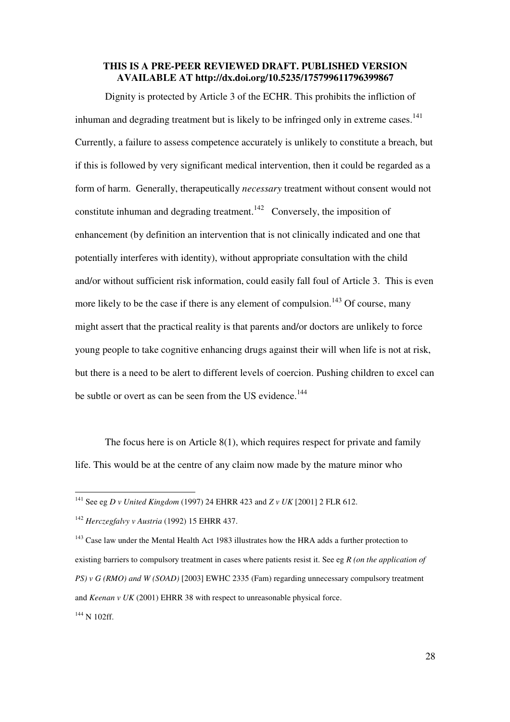Dignity is protected by Article 3 of the ECHR. This prohibits the infliction of inhuman and degrading treatment but is likely to be infringed only in extreme cases.<sup>141</sup> Currently, a failure to assess competence accurately is unlikely to constitute a breach, but if this is followed by very significant medical intervention, then it could be regarded as a form of harm. Generally, therapeutically *necessary* treatment without consent would not constitute inhuman and degrading treatment.<sup>142</sup> Conversely, the imposition of enhancement (by definition an intervention that is not clinically indicated and one that potentially interferes with identity), without appropriate consultation with the child and/or without sufficient risk information, could easily fall foul of Article 3. This is even more likely to be the case if there is any element of compulsion.<sup>143</sup> Of course, many might assert that the practical reality is that parents and/or doctors are unlikely to force young people to take cognitive enhancing drugs against their will when life is not at risk, but there is a need to be alert to different levels of coercion. Pushing children to excel can be subtle or overt as can be seen from the US evidence.<sup>144</sup>

The focus here is on Article 8(1), which requires respect for private and family life. This would be at the centre of any claim now made by the mature minor who

<sup>141</sup> See eg *D v United Kingdom* (1997) 24 EHRR 423 and *Z v UK* [2001] 2 FLR 612.

<sup>142</sup> *Herczegfalvy v Austria* (1992) 15 EHRR 437.

<sup>&</sup>lt;sup>143</sup> Case law under the Mental Health Act 1983 illustrates how the HRA adds a further protection to existing barriers to compulsory treatment in cases where patients resist it. See eg *R (on the application of PS) v G (RMO) and W (SOAD)* [2003] EWHC 2335 (Fam) regarding unnecessary compulsory treatment and *Keenan v UK* (2001) EHRR 38 with respect to unreasonable physical force.  $144$  N 102ff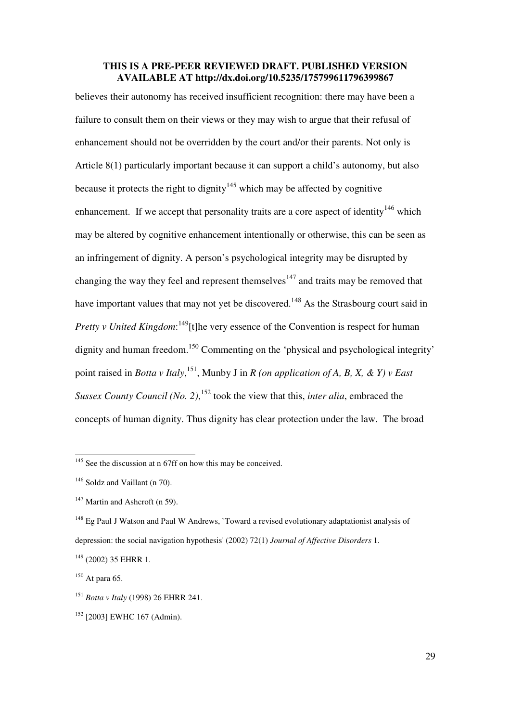believes their autonomy has received insufficient recognition: there may have been a failure to consult them on their views or they may wish to argue that their refusal of enhancement should not be overridden by the court and/or their parents. Not only is Article 8(1) particularly important because it can support a child's autonomy, but also because it protects the right to dignity<sup>145</sup> which may be affected by cognitive enhancement. If we accept that personality traits are a core aspect of identity<sup>146</sup> which may be altered by cognitive enhancement intentionally or otherwise, this can be seen as an infringement of dignity. A person's psychological integrity may be disrupted by changing the way they feel and represent themselves<sup>147</sup> and traits may be removed that have important values that may not yet be discovered.<sup>148</sup> As the Strasbourg court said in *Pretty v United Kingdom*:<sup>149</sup>[t]he very essence of the Convention is respect for human dignity and human freedom.<sup>150</sup> Commenting on the 'physical and psychological integrity' point raised in *Botta v Italy*, <sup>151</sup>, Munby J in *R (on application of A, B, X, & Y) v East Sussex County Council (No. 2)*, <sup>152</sup> took the view that this, *inter alia*, embraced the concepts of human dignity. Thus dignity has clear protection under the law. The broad

<sup>&</sup>lt;sup>145</sup> See the discussion at n 67ff on how this may be conceived.

<sup>&</sup>lt;sup>146</sup> Soldz and Vaillant (n 70).

 $147$  Martin and Ashcroft (n 59).

<sup>&</sup>lt;sup>148</sup> Eg Paul J Watson and Paul W Andrews, `Toward a revised evolutionary adaptationist analysis of depression: the social navigation hypothesis' (2002) 72(1) *Journal of Affective Disorders* 1.

 $149$  (2002) 35 EHRR 1.

 $150$  At para 65.

<sup>151</sup> *Botta v Italy* (1998) 26 EHRR 241.

<sup>152</sup> [2003] EWHC 167 (Admin).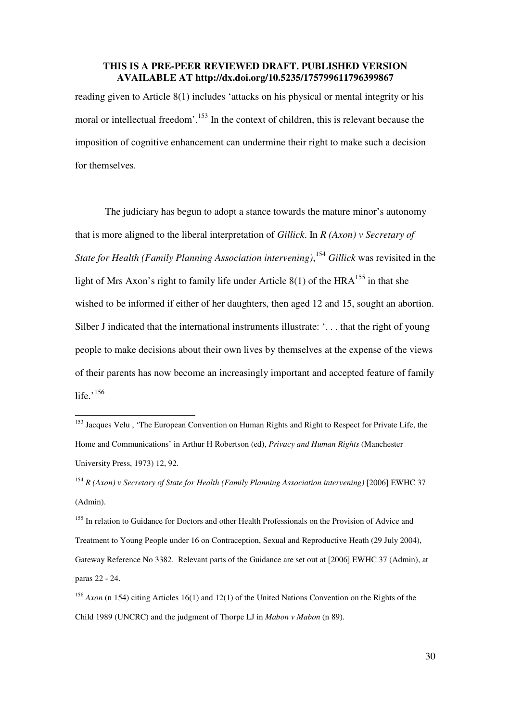reading given to Article 8(1) includes 'attacks on his physical or mental integrity or his moral or intellectual freedom'.<sup>153</sup> In the context of children, this is relevant because the imposition of cognitive enhancement can undermine their right to make such a decision for themselves.

The judiciary has begun to adopt a stance towards the mature minor's autonomy that is more aligned to the liberal interpretation of *Gillick*. In *R (Axon) v Secretary of State for Health (Family Planning Association intervening)*, <sup>154</sup> *Gillick* was revisited in the light of Mrs Axon's right to family life under Article  $8(1)$  of the HRA<sup>155</sup> in that she wished to be informed if either of her daughters, then aged 12 and 15, sought an abortion. Silber J indicated that the international instruments illustrate: '... that the right of young people to make decisions about their own lives by themselves at the expense of the views of their parents has now become an increasingly important and accepted feature of family life.' $156$ 

<sup>&</sup>lt;sup>153</sup> Jacques Velu, 'The European Convention on Human Rights and Right to Respect for Private Life, the Home and Communications' in Arthur H Robertson (ed), *Privacy and Human Rights* (Manchester University Press, 1973) 12, 92.

<sup>154</sup> *R (Axon) v Secretary of State for Health (Family Planning Association intervening)* [2006] EWHC 37 (Admin).

<sup>&</sup>lt;sup>155</sup> In relation to Guidance for Doctors and other Health Professionals on the Provision of Advice and Treatment to Young People under 16 on Contraception, Sexual and Reproductive Heath (29 July 2004), Gateway Reference No 3382. Relevant parts of the Guidance are set out at [2006] EWHC 37 (Admin), at paras 22 - 24.

<sup>156</sup> *Axon* (n 154) citing Articles 16(1) and 12(1) of the United Nations Convention on the Rights of the Child 1989 (UNCRC) and the judgment of Thorpe LJ in *Mabon v Mabon* (n 89).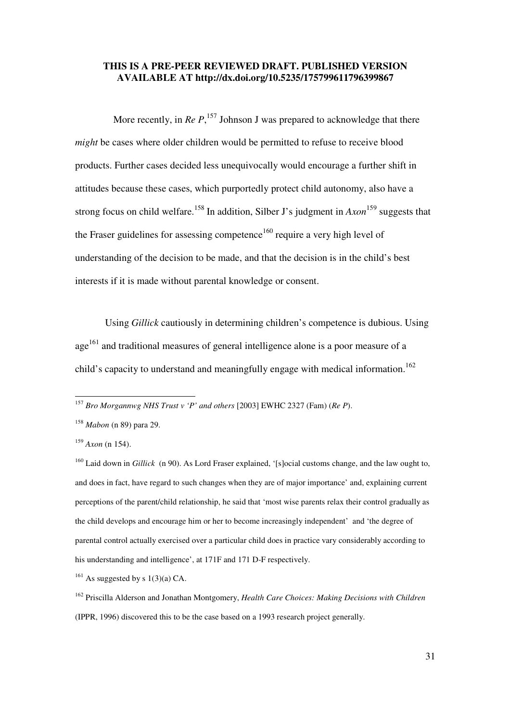More recently, in  $Re P$ <sup>, 157</sup> Johnson J was prepared to acknowledge that there *might* be cases where older children would be permitted to refuse to receive blood products. Further cases decided less unequivocally would encourage a further shift in attitudes because these cases, which purportedly protect child autonomy, also have a strong focus on child welfare.<sup>158</sup> In addition, Silber J's judgment in *Axon*<sup>159</sup> suggests that the Fraser guidelines for assessing competence<sup>160</sup> require a very high level of understanding of the decision to be made, and that the decision is in the child's best interests if it is made without parental knowledge or consent.

Using *Gillick* cautiously in determining children's competence is dubious. Using age<sup>161</sup> and traditional measures of general intelligence alone is a poor measure of a child's capacity to understand and meaningfully engage with medical information.<sup>162</sup>

<sup>157</sup> *Bro Morgannwg NHS Trust v 'P' and others* [2003] EWHC 2327 (Fam) (*Re P*).

<sup>158</sup> *Mabon* (n 89) para 29.

 $159$  *Axon* (n 154).

<sup>&</sup>lt;sup>160</sup> Laid down in *Gillick* (n 90). As Lord Fraser explained, '[s]ocial customs change, and the law ought to, and does in fact, have regard to such changes when they are of major importance' and, explaining current perceptions of the parent/child relationship, he said that 'most wise parents relax their control gradually as the child develops and encourage him or her to become increasingly independent' and 'the degree of parental control actually exercised over a particular child does in practice vary considerably according to his understanding and intelligence', at 171F and 171 D-F respectively.

 $161$  As suggested by s  $1(3)(a)$  CA.

<sup>162</sup> Priscilla Alderson and Jonathan Montgomery, *Health Care Choices: Making Decisions with Children* (IPPR, 1996) discovered this to be the case based on a 1993 research project generally.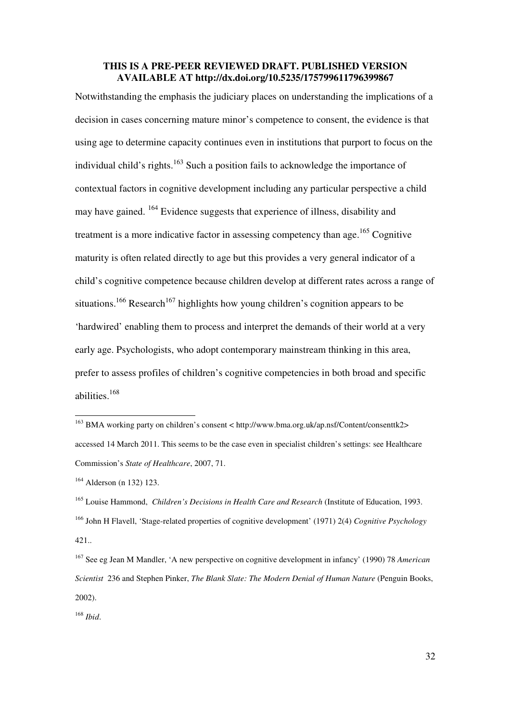Notwithstanding the emphasis the judiciary places on understanding the implications of a decision in cases concerning mature minor's competence to consent, the evidence is that using age to determine capacity continues even in institutions that purport to focus on the individual child's rights.<sup>163</sup> Such a position fails to acknowledge the importance of contextual factors in cognitive development including any particular perspective a child may have gained. <sup>164</sup> Evidence suggests that experience of illness, disability and treatment is a more indicative factor in assessing competency than age.<sup>165</sup> Cognitive maturity is often related directly to age but this provides a very general indicator of a child's cognitive competence because children develop at different rates across a range of situations.<sup>166</sup> Research<sup>167</sup> highlights how young children's cognition appears to be 'hardwired' enabling them to process and interpret the demands of their world at a very early age. Psychologists, who adopt contemporary mainstream thinking in this area, prefer to assess profiles of children's cognitive competencies in both broad and specific abilities.<sup>168</sup>

<sup>163</sup> BMA working party on children's consent < http://www.bma.org.uk/ap.nsf/Content/consenttk2> accessed 14 March 2011. This seems to be the case even in specialist children's settings: see Healthcare Commission's *State of Healthcare*, 2007, 71.

<sup>164</sup> Alderson (n 132) 123.

<sup>165</sup> Louise Hammond, *Children's Decisions in Health Care and Research* (Institute of Education, 1993. <sup>166</sup> John H Flavell, 'Stage-related properties of cognitive development' (1971) 2(4) *Cognitive Psychology* 421..

<sup>167</sup> See eg Jean M Mandler, 'A new perspective on cognitive development in infancy' (1990) 78 *American Scientist* 236 and Stephen Pinker, *The Blank Slate: The Modern Denial of Human Nature* (Penguin Books, 2002).

<sup>168</sup> *Ibid*.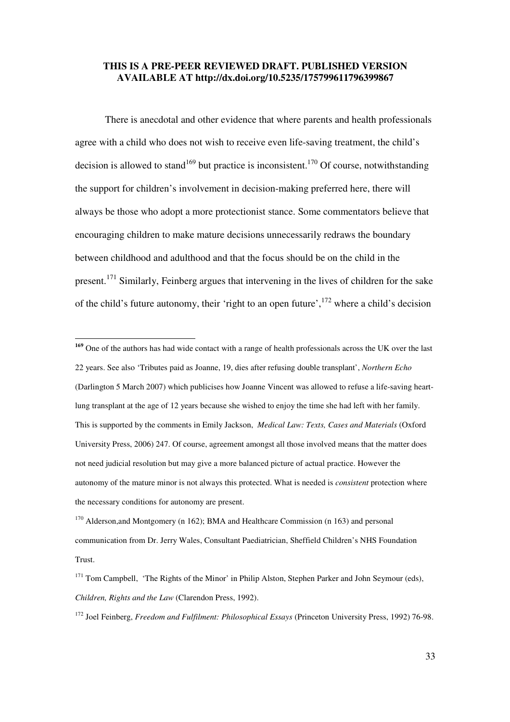There is anecdotal and other evidence that where parents and health professionals agree with a child who does not wish to receive even life-saving treatment, the child's decision is allowed to stand<sup>169</sup> but practice is inconsistent.<sup>170</sup> Of course, notwithstanding the support for children's involvement in decision-making preferred here, there will always be those who adopt a more protectionist stance. Some commentators believe that encouraging children to make mature decisions unnecessarily redraws the boundary between childhood and adulthood and that the focus should be on the child in the present.<sup>171</sup> Similarly, Feinberg argues that intervening in the lives of children for the sake of the child's future autonomy, their 'right to an open future',  $^{172}$  where a child's decision

**<sup>169</sup>** One of the authors has had wide contact with a range of health professionals across the UK over the last 22 years. See also 'Tributes paid as Joanne, 19, dies after refusing double transplant', *Northern Echo*  (Darlington 5 March 2007) which publicises how Joanne Vincent was allowed to refuse a life-saving heartlung transplant at the age of 12 years because she wished to enjoy the time she had left with her family. This is supported by the comments in Emily Jackson, *Medical Law: Texts, Cases and Materials* (Oxford University Press, 2006) 247. Of course, agreement amongst all those involved means that the matter does not need judicial resolution but may give a more balanced picture of actual practice. However the autonomy of the mature minor is not always this protected. What is needed is *consistent* protection where the necessary conditions for autonomy are present.

<sup>&</sup>lt;sup>170</sup> Alderson, and Montgomery (n 162); BMA and Healthcare Commission (n 163) and personal communication from Dr. Jerry Wales, Consultant Paediatrician, Sheffield Children's NHS Foundation Trust.

<sup>&</sup>lt;sup>171</sup> Tom Campbell, 'The Rights of the Minor' in Philip Alston, Stephen Parker and John Seymour (eds), *Children, Rights and the Law* (Clarendon Press, 1992).

<sup>172</sup> Joel Feinberg, *Freedom and Fulfilment: Philosophical Essays* (Princeton University Press, 1992) 76-98.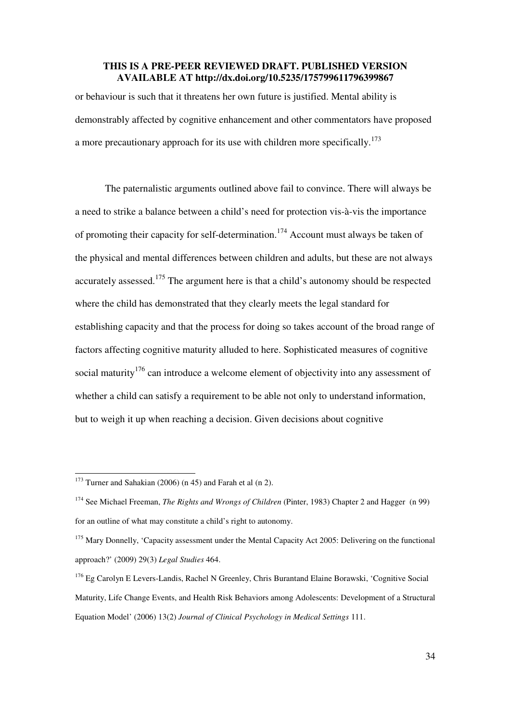or behaviour is such that it threatens her own future is justified. Mental ability is demonstrably affected by cognitive enhancement and other commentators have proposed a more precautionary approach for its use with children more specifically.<sup>173</sup>

The paternalistic arguments outlined above fail to convince. There will always be a need to strike a balance between a child's need for protection vis-à-vis the importance of promoting their capacity for self-determination.<sup>174</sup> Account must always be taken of the physical and mental differences between children and adults, but these are not always accurately assessed.<sup>175</sup> The argument here is that a child's autonomy should be respected where the child has demonstrated that they clearly meets the legal standard for establishing capacity and that the process for doing so takes account of the broad range of factors affecting cognitive maturity alluded to here. Sophisticated measures of cognitive social maturity<sup>176</sup> can introduce a welcome element of objectivity into any assessment of whether a child can satisfy a requirement to be able not only to understand information, but to weigh it up when reaching a decision. Given decisions about cognitive

<sup>&</sup>lt;sup>173</sup> Turner and Sahakian (2006) (n 45) and Farah et al (n 2).

<sup>174</sup> See Michael Freeman, *The Rights and Wrongs of Children* (Pinter, 1983) Chapter 2 and Hagger (n 99) for an outline of what may constitute a child's right to autonomy.

<sup>&</sup>lt;sup>175</sup> Mary Donnelly, 'Capacity assessment under the Mental Capacity Act 2005: Delivering on the functional approach?' (2009) 29(3) *Legal Studies* 464.

<sup>176</sup> Eg Carolyn E Levers-Landis, Rachel N Greenley, Chris Burantand Elaine Borawski, 'Cognitive Social Maturity, Life Change Events, and Health Risk Behaviors among Adolescents: Development of a Structural Equation Model' (2006) 13(2) *Journal of Clinical Psychology in Medical Settings* 111.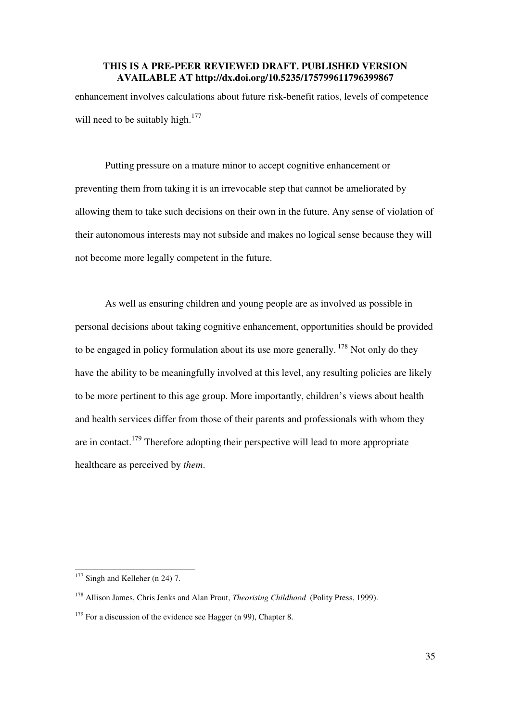enhancement involves calculations about future risk-benefit ratios, levels of competence will need to be suitably high. $177$ 

Putting pressure on a mature minor to accept cognitive enhancement or preventing them from taking it is an irrevocable step that cannot be ameliorated by allowing them to take such decisions on their own in the future. Any sense of violation of their autonomous interests may not subside and makes no logical sense because they will not become more legally competent in the future.

As well as ensuring children and young people are as involved as possible in personal decisions about taking cognitive enhancement, opportunities should be provided to be engaged in policy formulation about its use more generally.<sup>178</sup> Not only do they have the ability to be meaningfully involved at this level, any resulting policies are likely to be more pertinent to this age group. More importantly, children's views about health and health services differ from those of their parents and professionals with whom they are in contact.<sup>179</sup> Therefore adopting their perspective will lead to more appropriate healthcare as perceived by *them*.

 $177$  Singh and Kelleher (n 24) 7.

<sup>178</sup> Allison James, Chris Jenks and Alan Prout, *Theorising Childhood* (Polity Press, 1999).

 $179$  For a discussion of the evidence see Hagger (n 99), Chapter 8.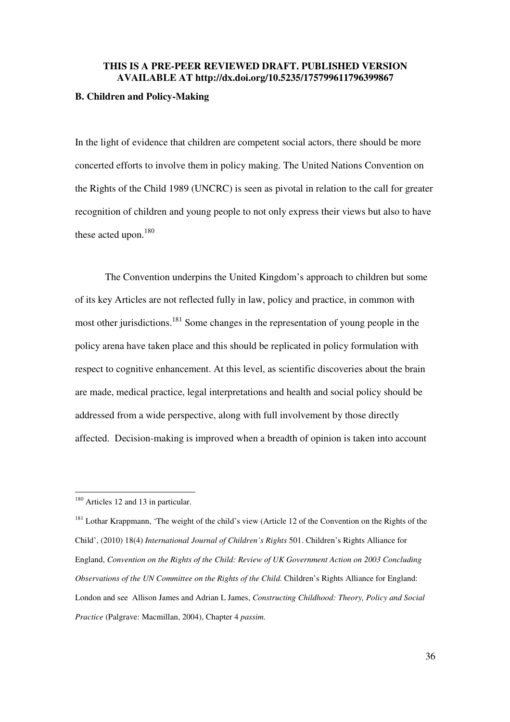#### **B. Children and Policy-Making**

In the light of evidence that children are competent social actors, there should be more concerted efforts to involve them in policy making. The United Nations Convention on the Rights of the Child 1989 (UNCRC) is seen as pivotal in relation to the call for greater recognition of children and young people to not only express their views but also to have these acted upon.<sup>180</sup>

The Convention underpins the United Kingdom's approach to children but some of its key Articles are not reflected fully in law, policy and practice, in common with most other jurisdictions.<sup>181</sup> Some changes in the representation of young people in the policy arena have taken place and this should be replicated in policy formulation with respect to cognitive enhancement. At this level, as scientific discoveries about the brain are made, medical practice, legal interpretations and health and social policy should be addressed from a wide perspective, along with full involvement by those directly affected. Decision-making is improved when a breadth of opinion is taken into account

<sup>&</sup>lt;sup>180</sup> Articles 12 and 13 in particular.

<sup>&</sup>lt;sup>181</sup> Lothar Krappmann, 'The weight of the child's view (Article 12 of the Convention on the Rights of the Child', (2010) 18(4) *International Journal of Children's Rights* 501. Children's Rights Alliance for England, *Convention on the Rights of the Child: Review of UK Government Action on 2003 Concluding Observations of the UN Committee on the Rights of the Child.* Children's Rights Alliance for England: London and see Allison James and Adrian L James, *Constructing Childhood: Theory, Policy and Social Practice* (Palgrave: Macmillan, 2004), Chapter 4 *passim.*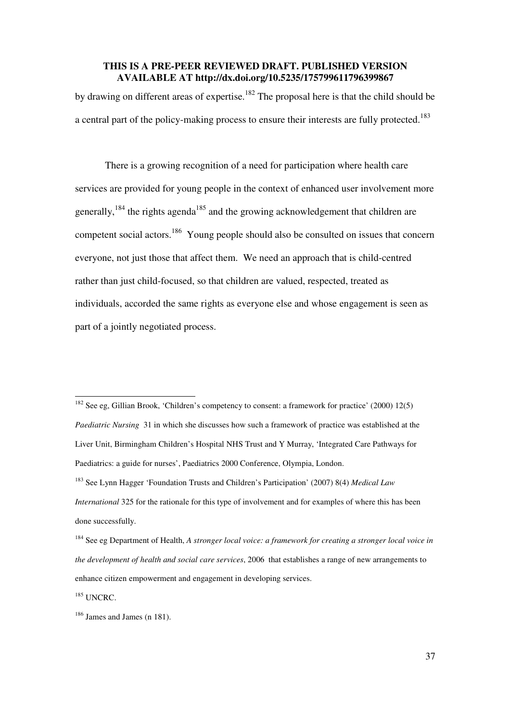by drawing on different areas of expertise.<sup>182</sup> The proposal here is that the child should be a central part of the policy-making process to ensure their interests are fully protected.<sup>183</sup>

There is a growing recognition of a need for participation where health care services are provided for young people in the context of enhanced user involvement more generally,<sup>184</sup> the rights agenda<sup>185</sup> and the growing acknowledgement that children are competent social actors.<sup>186</sup> Young people should also be consulted on issues that concern everyone, not just those that affect them. We need an approach that is child-centred rather than just child-focused, so that children are valued, respected, treated as individuals, accorded the same rights as everyone else and whose engagement is seen as part of a jointly negotiated process.

 $182$  See eg, Gillian Brook, 'Children's competency to consent: a framework for practice' (2000) 12(5) *Paediatric Nursing* 31 in which she discusses how such a framework of practice was established at the Liver Unit, Birmingham Children's Hospital NHS Trust and Y Murray, 'Integrated Care Pathways for Paediatrics: a guide for nurses', Paediatrics 2000 Conference, Olympia, London. <sup>183</sup> See Lynn Hagger 'Foundation Trusts and Children's Participation' (2007) 8(4) *Medical Law International* 325 for the rationale for this type of involvement and for examples of where this has been done successfully.

<sup>184</sup> See eg Department of Health, *A stronger local voice: a framework for creating a stronger local voice in the development of health and social care services*, 2006 that establishes a range of new arrangements to enhance citizen empowerment and engagement in developing services.

<sup>&</sup>lt;sup>185</sup> UNCRC.

<sup>186</sup> James and James (n 181).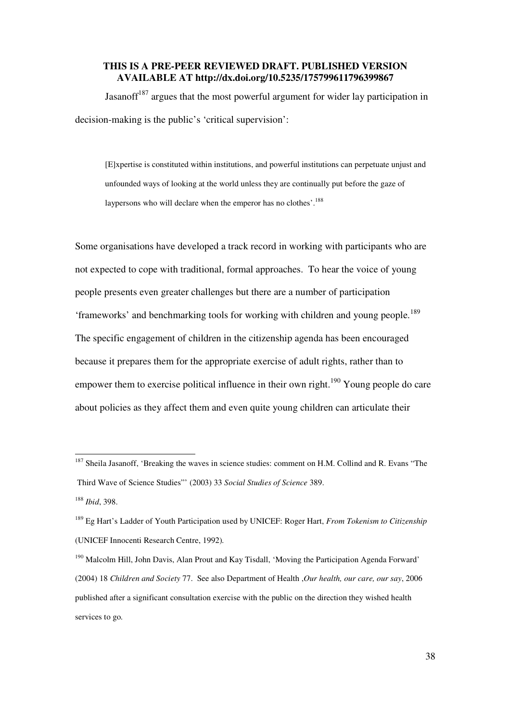Jasanoff $187$  argues that the most powerful argument for wider lay participation in decision-making is the public's 'critical supervision':

[E]xpertise is constituted within institutions, and powerful institutions can perpetuate unjust and unfounded ways of looking at the world unless they are continually put before the gaze of laypersons who will declare when the emperor has no clothes'.<sup>188</sup>

Some organisations have developed a track record in working with participants who are not expected to cope with traditional, formal approaches. To hear the voice of young people presents even greater challenges but there are a number of participation 'frameworks' and benchmarking tools for working with children and young people.<sup>189</sup> The specific engagement of children in the citizenship agenda has been encouraged because it prepares them for the appropriate exercise of adult rights, rather than to empower them to exercise political influence in their own right.<sup>190</sup> Young people do care about policies as they affect them and even quite young children can articulate their

<sup>&</sup>lt;sup>187</sup> Sheila Jasanoff, 'Breaking the waves in science studies: comment on H.M. Collind and R. Evans "The Third Wave of Science Studies"' (2003) 33 *Social Studies of Science* 389.

<sup>188</sup> *Ibid*, 398.

<sup>189</sup> Eg Hart's Ladder of Youth Participation used by UNICEF: Roger Hart, *From Tokenism to Citizenship*  (UNICEF Innocenti Research Centre, 1992)*.*

<sup>190</sup> Malcolm Hill, John Davis, Alan Prout and Kay Tisdall, 'Moving the Participation Agenda Forward' (2004) 18 *Children and Society* 77. See also Department of Health ,*Our health, our care, our say*, 2006 published after a significant consultation exercise with the public on the direction they wished health services to go*.*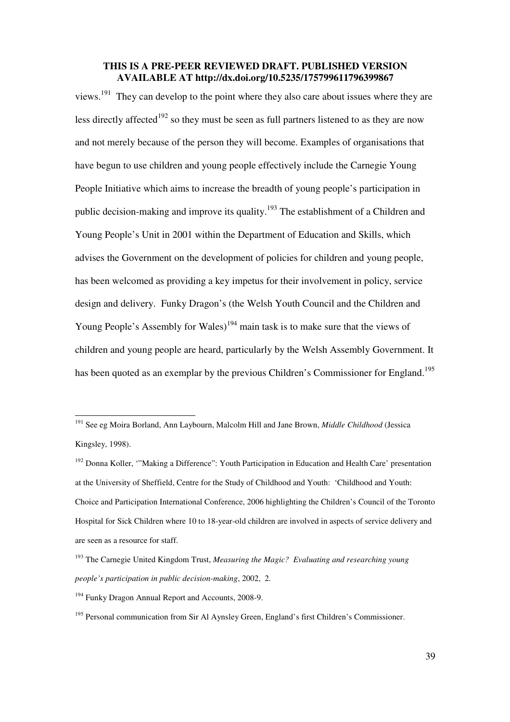views.<sup>191</sup> They can develop to the point where they also care about issues where they are less directly affected<sup>192</sup> so they must be seen as full partners listened to as they are now and not merely because of the person they will become. Examples of organisations that have begun to use children and young people effectively include the Carnegie Young People Initiative which aims to increase the breadth of young people's participation in public decision-making and improve its quality.<sup>193</sup> The establishment of a Children and Young People's Unit in 2001 within the Department of Education and Skills, which advises the Government on the development of policies for children and young people, has been welcomed as providing a key impetus for their involvement in policy, service design and delivery. Funky Dragon's (the Welsh Youth Council and the Children and Young People's Assembly for Wales)<sup>194</sup> main task is to make sure that the views of children and young people are heard, particularly by the Welsh Assembly Government. It has been quoted as an exemplar by the previous Children's Commissioner for England.<sup>195</sup>

<sup>191</sup> See eg Moira Borland, Ann Laybourn, Malcolm Hill and Jane Brown, *Middle Childhood* (Jessica Kingsley, 1998).

<sup>&</sup>lt;sup>192</sup> Donna Koller, "Making a Difference": Youth Participation in Education and Health Care' presentation at the University of Sheffield, Centre for the Study of Childhood and Youth: 'Childhood and Youth: Choice and Participation International Conference, 2006 highlighting the Children's Council of the Toronto Hospital for Sick Children where 10 to 18-year-old children are involved in aspects of service delivery and are seen as a resource for staff.

<sup>193</sup> The Carnegie United Kingdom Trust, *Measuring the Magic? Evaluating and researching young people's participation in public decision-making*, 2002, 2*.*

<sup>194</sup> Funky Dragon Annual Report and Accounts, 2008-9.

<sup>&</sup>lt;sup>195</sup> Personal communication from Sir Al Aynsley Green, England's first Children's Commissioner.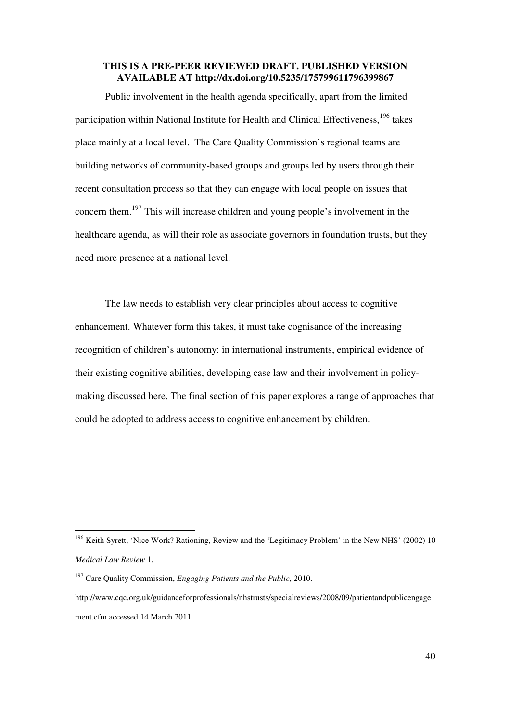Public involvement in the health agenda specifically, apart from the limited participation within National Institute for Health and Clinical Effectiveness,<sup>196</sup> takes place mainly at a local level. The Care Quality Commission's regional teams are building networks of community-based groups and groups led by users through their recent consultation process so that they can engage with local people on issues that concern them.<sup>197</sup> This will increase children and young people's involvement in the healthcare agenda, as will their role as associate governors in foundation trusts, but they need more presence at a national level.

The law needs to establish very clear principles about access to cognitive enhancement. Whatever form this takes, it must take cognisance of the increasing recognition of children's autonomy: in international instruments, empirical evidence of their existing cognitive abilities, developing case law and their involvement in policymaking discussed here. The final section of this paper explores a range of approaches that could be adopted to address access to cognitive enhancement by children.

<sup>&</sup>lt;sup>196</sup> Keith Syrett, 'Nice Work? Rationing, Review and the 'Legitimacy Problem' in the New NHS' (2002) 10 *Medical Law Review* 1.

<sup>197</sup> Care Quality Commission, *Engaging Patients and the Public*, 2010.

http://www.cqc.org.uk/guidanceforprofessionals/nhstrusts/specialreviews/2008/09/patientandpublicengage ment.cfm accessed 14 March 2011.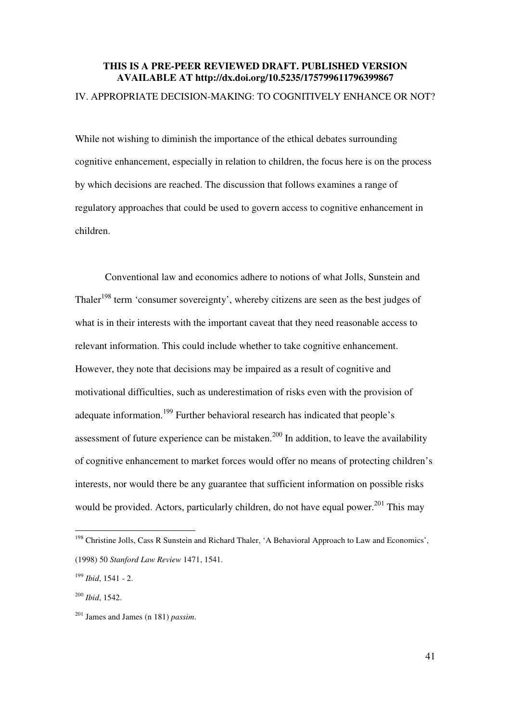#### IV. APPROPRIATE DECISION-MAKING: TO COGNITIVELY ENHANCE OR NOT?

While not wishing to diminish the importance of the ethical debates surrounding cognitive enhancement, especially in relation to children, the focus here is on the process by which decisions are reached. The discussion that follows examines a range of regulatory approaches that could be used to govern access to cognitive enhancement in children.

Conventional law and economics adhere to notions of what Jolls, Sunstein and Thaler<sup>198</sup> term 'consumer sovereignty', whereby citizens are seen as the best judges of what is in their interests with the important caveat that they need reasonable access to relevant information. This could include whether to take cognitive enhancement. However, they note that decisions may be impaired as a result of cognitive and motivational difficulties, such as underestimation of risks even with the provision of adequate information.<sup>199</sup> Further behavioral research has indicated that people's assessment of future experience can be mistaken.<sup>200</sup> In addition, to leave the availability of cognitive enhancement to market forces would offer no means of protecting children's interests, nor would there be any guarantee that sufficient information on possible risks would be provided. Actors, particularly children, do not have equal power.<sup>201</sup> This may

<sup>&</sup>lt;sup>198</sup> Christine Jolls, Cass R Sunstein and Richard Thaler, 'A Behavioral Approach to Law and Economics', (1998) 50 *Stanford Law Review* 1471, 1541.

<sup>199</sup> *Ibid*, 1541 - 2.

<sup>200</sup> *Ibid*, 1542.

<sup>201</sup> James and James (n 181) *passim*.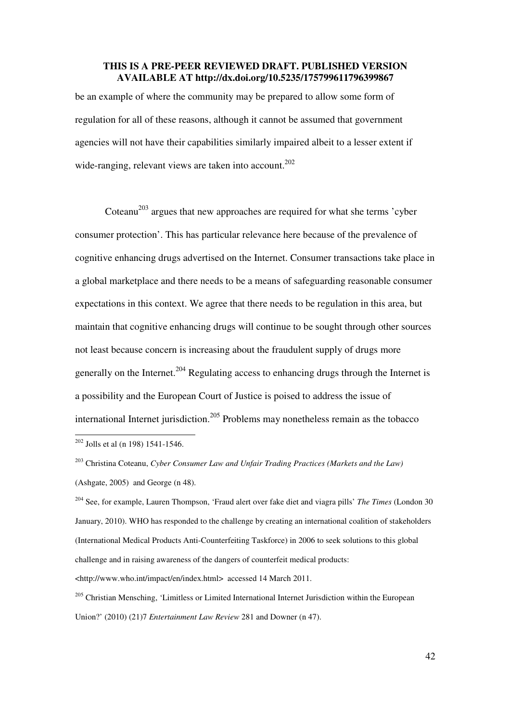be an example of where the community may be prepared to allow some form of regulation for all of these reasons, although it cannot be assumed that government agencies will not have their capabilities similarly impaired albeit to a lesser extent if wide-ranging, relevant views are taken into account.<sup>202</sup>

Coteanu<sup>203</sup> argues that new approaches are required for what she terms 'cyber consumer protection'. This has particular relevance here because of the prevalence of cognitive enhancing drugs advertised on the Internet. Consumer transactions take place in a global marketplace and there needs to be a means of safeguarding reasonable consumer expectations in this context. We agree that there needs to be regulation in this area, but maintain that cognitive enhancing drugs will continue to be sought through other sources not least because concern is increasing about the fraudulent supply of drugs more generally on the Internet.<sup>204</sup> Regulating access to enhancing drugs through the Internet is a possibility and the European Court of Justice is poised to address the issue of international Internet jurisdiction.<sup>205</sup> Problems may nonetheless remain as the tobacco

 $202$  Jolls et al (n 198) 1541-1546.

-

<sup>203</sup> Christina Coteanu, *Cyber Consumer Law and Unfair Trading Practices (Markets and the Law)* (Ashgate, 2005)and George (n 48).

<sup>204</sup> See, for example, Lauren Thompson, 'Fraud alert over fake diet and viagra pills' *The Times* (London 30 January, 2010). WHO has responded to the challenge by creating an international coalition of stakeholders (International Medical Products Anti-Counterfeiting Taskforce) in 2006 to seek solutions to this global challenge and in raising awareness of the dangers of counterfeit medical products: <http://www.who.int/impact/en/index.html> accessed 14 March 2011.

<sup>205</sup> Christian Mensching, 'Limitless or Limited International Internet Jurisdiction within the European Union?' (2010) (21)7 *Entertainment Law Review* 281 and Downer (n 47).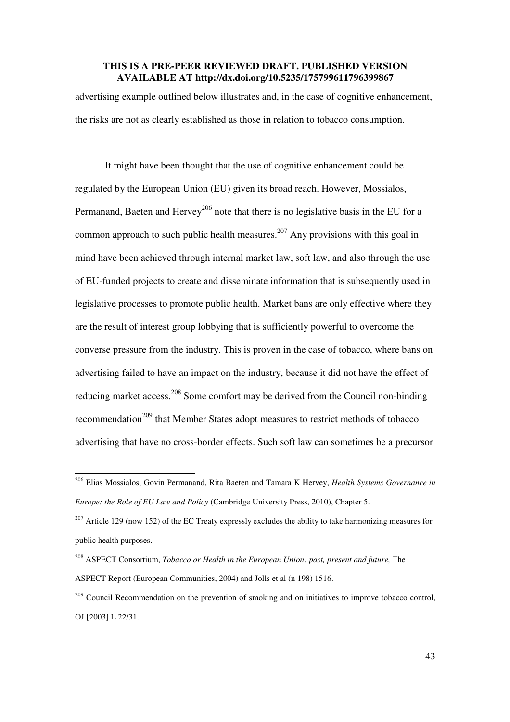advertising example outlined below illustrates and, in the case of cognitive enhancement, the risks are not as clearly established as those in relation to tobacco consumption.

 It might have been thought that the use of cognitive enhancement could be regulated by the European Union (EU) given its broad reach. However, Mossialos, Permanand, Baeten and Hervey<sup>206</sup> note that there is no legislative basis in the EU for a common approach to such public health measures.<sup>207</sup> Any provisions with this goal in mind have been achieved through internal market law, soft law, and also through the use of EU-funded projects to create and disseminate information that is subsequently used in legislative processes to promote public health. Market bans are only effective where they are the result of interest group lobbying that is sufficiently powerful to overcome the converse pressure from the industry. This is proven in the case of tobacco, where bans on advertising failed to have an impact on the industry, because it did not have the effect of reducing market access.<sup>208</sup> Some comfort may be derived from the Council non-binding recommendation<sup>209</sup> that Member States adopt measures to restrict methods of tobacco advertising that have no cross-border effects. Such soft law can sometimes be a precursor

<sup>206</sup> Elias Mossialos, Govin Permanand, Rita Baeten and Tamara K Hervey, *Health Systems Governance in Europe: the Role of EU Law and Policy* (Cambridge University Press, 2010), Chapter 5.

<sup>&</sup>lt;sup>207</sup> Article 129 (now 152) of the EC Treaty expressly excludes the ability to take harmonizing measures for public health purposes.

<sup>208</sup> ASPECT Consortium, *Tobacco or Health in the European Union: past, present and future,* The ASPECT Report (European Communities, 2004) and Jolls et al (n 198) 1516.

 $^{209}$  Council Recommendation on the prevention of smoking and on initiatives to improve tobacco control, OJ [2003] L 22/31.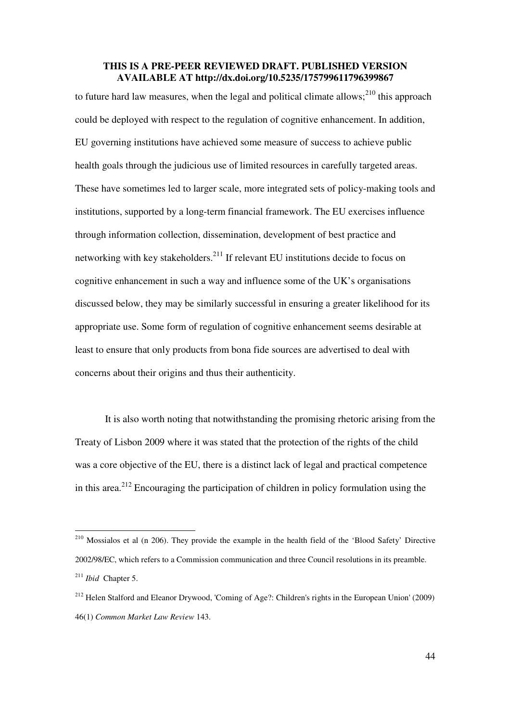to future hard law measures, when the legal and political climate allows;<sup>210</sup> this approach could be deployed with respect to the regulation of cognitive enhancement. In addition, EU governing institutions have achieved some measure of success to achieve public health goals through the judicious use of limited resources in carefully targeted areas. These have sometimes led to larger scale, more integrated sets of policy-making tools and institutions, supported by a long-term financial framework. The EU exercises influence through information collection, dissemination, development of best practice and networking with key stakeholders.<sup>211</sup> If relevant EU institutions decide to focus on cognitive enhancement in such a way and influence some of the UK's organisations discussed below, they may be similarly successful in ensuring a greater likelihood for its appropriate use. Some form of regulation of cognitive enhancement seems desirable at least to ensure that only products from bona fide sources are advertised to deal with concerns about their origins and thus their authenticity.

It is also worth noting that notwithstanding the promising rhetoric arising from the Treaty of Lisbon 2009 where it was stated that the protection of the rights of the child was a core objective of the EU, there is a distinct lack of legal and practical competence in this area.<sup>212</sup> Encouraging the participation of children in policy formulation using the

<sup>&</sup>lt;sup>210</sup> Mossialos et al (n 206). They provide the example in the health field of the 'Blood Safety' Directive 2002/98/EC, which refers to a Commission communication and three Council resolutions in its preamble. <sup>211</sup> *Ibid* Chapter 5.

<sup>212</sup> Helen Stalford and Eleanor Drywood, 'Coming of Age?: Children's rights in the European Union' (2009) 46(1) *Common Market Law Review* 143.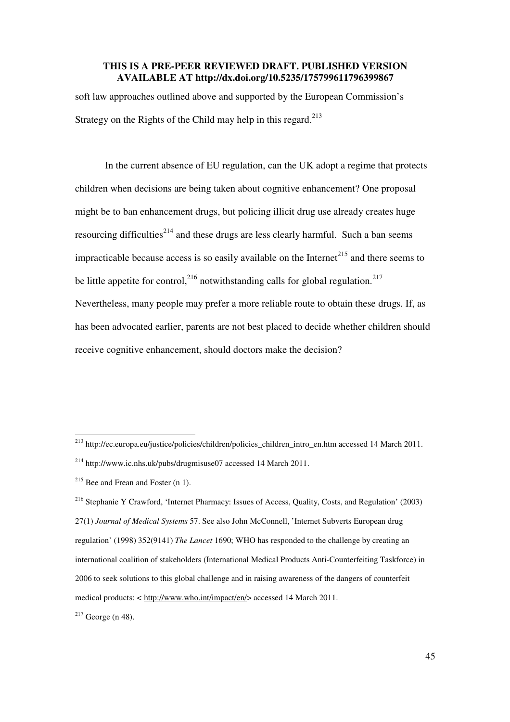soft law approaches outlined above and supported by the European Commission's Strategy on the Rights of the Child may help in this regard. $213$ 

 In the current absence of EU regulation, can the UK adopt a regime that protects children when decisions are being taken about cognitive enhancement? One proposal might be to ban enhancement drugs, but policing illicit drug use already creates huge resourcing difficulties<sup>214</sup> and these drugs are less clearly harmful. Such a ban seems impracticable because access is so easily available on the Internet<sup>215</sup> and there seems to be little appetite for control,  $2^{16}$  notwithstanding calls for global regulation.  $2^{17}$ Nevertheless, many people may prefer a more reliable route to obtain these drugs. If, as has been advocated earlier, parents are not best placed to decide whether children should receive cognitive enhancement, should doctors make the decision?

<sup>-</sup><sup>213</sup> http://ec.europa.eu/justice/policies/children/policies\_children\_intro\_en.htm accessed 14 March 2011. <sup>214</sup> http://www.ic.nhs.uk/pubs/drugmisuse07 accessed 14 March 2011.

 $215$  Bee and Frean and Foster (n 1).

<sup>216</sup> Stephanie Y Crawford, 'Internet Pharmacy: Issues of Access, Quality, Costs, and Regulation' (2003) 27(1) *Journal of Medical Systems* 57. See also John McConnell, 'Internet Subverts European drug regulation' (1998) 352(9141) *The Lancet* 1690; WHO has responded to the challenge by creating an international coalition of stakeholders (International Medical Products Anti-Counterfeiting Taskforce) in 2006 to seek solutions to this global challenge and in raising awareness of the dangers of counterfeit medical products: < http://www.who.int/impact/en/> accessed 14 March 2011.

 $217$  George (n 48).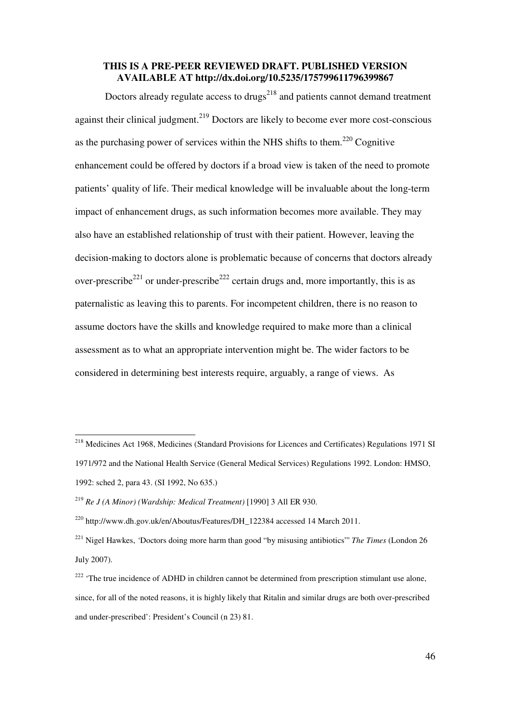Doctors already regulate access to drugs<sup>218</sup> and patients cannot demand treatment against their clinical judgment.<sup>219</sup> Doctors are likely to become ever more cost-conscious as the purchasing power of services within the NHS shifts to them.<sup>220</sup> Cognitive enhancement could be offered by doctors if a broad view is taken of the need to promote patients' quality of life. Their medical knowledge will be invaluable about the long-term impact of enhancement drugs, as such information becomes more available. They may also have an established relationship of trust with their patient. However, leaving the decision-making to doctors alone is problematic because of concerns that doctors already over-prescribe<sup>221</sup> or under-prescribe<sup>222</sup> certain drugs and, more importantly, this is as paternalistic as leaving this to parents. For incompetent children, there is no reason to assume doctors have the skills and knowledge required to make more than a clinical assessment as to what an appropriate intervention might be. The wider factors to be considered in determining best interests require, arguably, a range of views. As

<sup>&</sup>lt;sup>218</sup> Medicines Act 1968, Medicines (Standard Provisions for Licences and Certificates) Regulations 1971 SI 1971/972 and the National Health Service (General Medical Services) Regulations 1992. London: HMSO, 1992: sched 2, para 43. (SI 1992, No 635.)

<sup>219</sup> *Re J (A Minor) (Wardship: Medical Treatment)* [1990] 3 All ER 930.

<sup>&</sup>lt;sup>220</sup> http://www.dh.gov.uk/en/Aboutus/Features/DH\_122384 accessed 14 March 2011.

<sup>221</sup> Nigel Hawkes, *'*Doctors doing more harm than good "by misusing antibiotics"' *The Times* (London 26 July 2007)*.* 

<sup>&</sup>lt;sup>222</sup> 'The true incidence of ADHD in children cannot be determined from prescription stimulant use alone, since, for all of the noted reasons, it is highly likely that Ritalin and similar drugs are both over-prescribed and under-prescribed': President's Council (n 23) 81.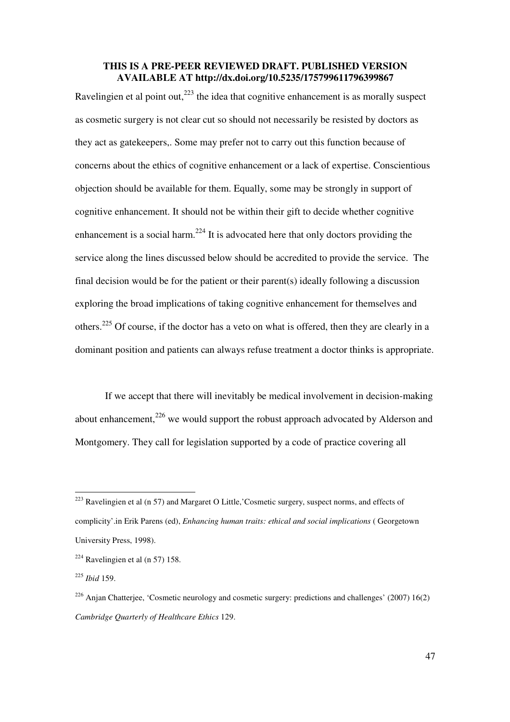Ravelingien et al point out, $^{223}$  the idea that cognitive enhancement is as morally suspect as cosmetic surgery is not clear cut so should not necessarily be resisted by doctors as they act as gatekeepers,. Some may prefer not to carry out this function because of concerns about the ethics of cognitive enhancement or a lack of expertise. Conscientious objection should be available for them. Equally, some may be strongly in support of cognitive enhancement. It should not be within their gift to decide whether cognitive enhancement is a social harm.<sup>224</sup> It is advocated here that only doctors providing the service along the lines discussed below should be accredited to provide the service. The final decision would be for the patient or their parent(s) ideally following a discussion exploring the broad implications of taking cognitive enhancement for themselves and others.<sup>225</sup> Of course, if the doctor has a veto on what is offered, then they are clearly in a dominant position and patients can always refuse treatment a doctor thinks is appropriate.

 If we accept that there will inevitably be medical involvement in decision-making about enhancement.<sup>226</sup> we would support the robust approach advocated by Alderson and Montgomery. They call for legislation supported by a code of practice covering all

 $223$  Ravelingien et al (n 57) and Margaret O Little, 'Cosmetic surgery, suspect norms, and effects of complicity'.in Erik Parens (ed), *Enhancing human traits: ethical and social implications* ( Georgetown University Press, 1998).

 $224$  Ravelingien et al (n 57) 158.

<sup>225</sup> *Ibid* 159.

 $226$  Anjan Chatterjee, 'Cosmetic neurology and cosmetic surgery: predictions and challenges' (2007) 16(2) *Cambridge Quarterly of Healthcare Ethics* 129.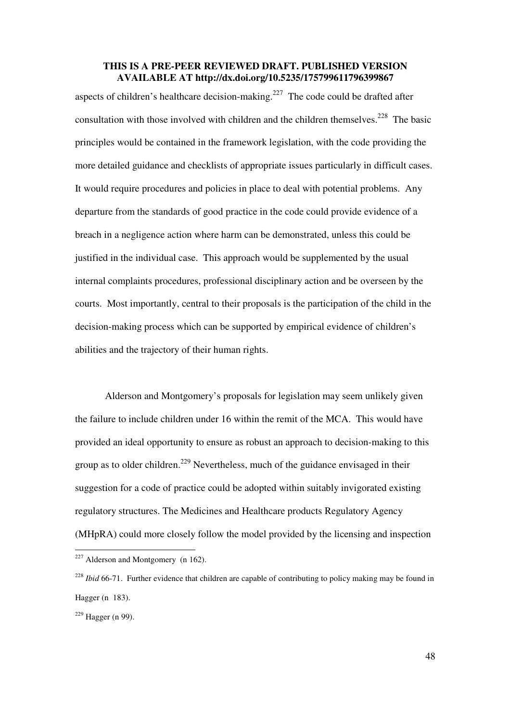aspects of children's healthcare decision-making.<sup>227</sup> The code could be drafted after consultation with those involved with children and the children themselves.<sup>228</sup> The basic principles would be contained in the framework legislation, with the code providing the more detailed guidance and checklists of appropriate issues particularly in difficult cases. It would require procedures and policies in place to deal with potential problems. Any departure from the standards of good practice in the code could provide evidence of a breach in a negligence action where harm can be demonstrated, unless this could be justified in the individual case. This approach would be supplemented by the usual internal complaints procedures, professional disciplinary action and be overseen by the courts. Most importantly, central to their proposals is the participation of the child in the decision-making process which can be supported by empirical evidence of children's abilities and the trajectory of their human rights.

Alderson and Montgomery's proposals for legislation may seem unlikely given the failure to include children under 16 within the remit of the MCA. This would have provided an ideal opportunity to ensure as robust an approach to decision-making to this group as to older children.<sup>229</sup> Nevertheless, much of the guidance envisaged in their suggestion for a code of practice could be adopted within suitably invigorated existing regulatory structures. The Medicines and Healthcare products Regulatory Agency (MHpRA) could more closely follow the model provided by the licensing and inspection

 $227$  Alderson and Montgomery (n 162).

<sup>&</sup>lt;sup>228</sup> *Ibid* 66-71. Further evidence that children are capable of contributing to policy making may be found in Hagger (n 183).

 $^{229}$  Hagger (n 99).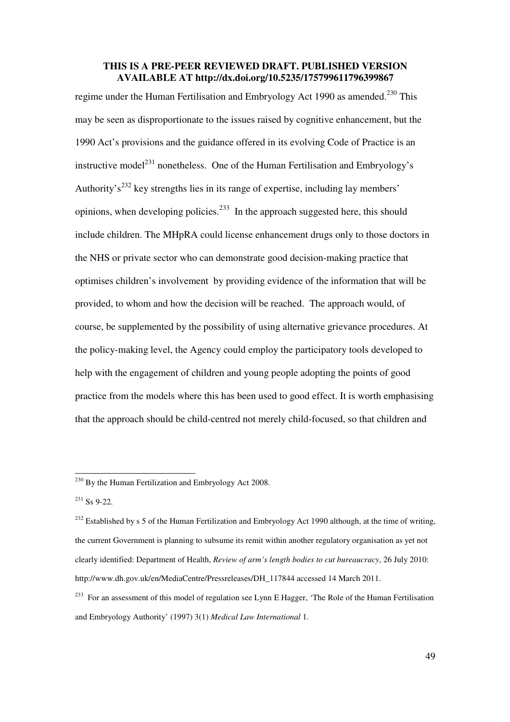regime under the Human Fertilisation and Embryology Act 1990 as amended.<sup>230</sup> This may be seen as disproportionate to the issues raised by cognitive enhancement, but the 1990 Act's provisions and the guidance offered in its evolving Code of Practice is an instructive model<sup>231</sup> nonetheless. One of the Human Fertilisation and Embryology's Authority's<sup>232</sup> key strengths lies in its range of expertise, including lay members' opinions, when developing policies.<sup>233</sup> In the approach suggested here, this should include children. The MHpRA could license enhancement drugs only to those doctors in the NHS or private sector who can demonstrate good decision-making practice that optimises children's involvement by providing evidence of the information that will be provided, to whom and how the decision will be reached. The approach would, of course, be supplemented by the possibility of using alternative grievance procedures. At the policy-making level, the Agency could employ the participatory tools developed to help with the engagement of children and young people adopting the points of good practice from the models where this has been used to good effect. It is worth emphasising that the approach should be child-centred not merely child-focused, so that children and

 $^{230}$  By the Human Fertilization and Embryology Act 2008.

 $231$  Ss 9-22.

 $^{232}$  Established by s 5 of the Human Fertilization and Embryology Act 1990 although, at the time of writing, the current Government is planning to subsume its remit within another regulatory organisation as yet not clearly identified: Department of Health, *Review of arm's length bodies to cut bureaucracy*, 26 July 2010: http://www.dh.gov.uk/en/MediaCentre/Pressreleases/DH\_117844 accessed 14 March 2011.

<sup>&</sup>lt;sup>233</sup> For an assessment of this model of regulation see Lynn E Hagger, 'The Role of the Human Fertilisation and Embryology Authority' (1997) 3(1) *Medical Law International* 1.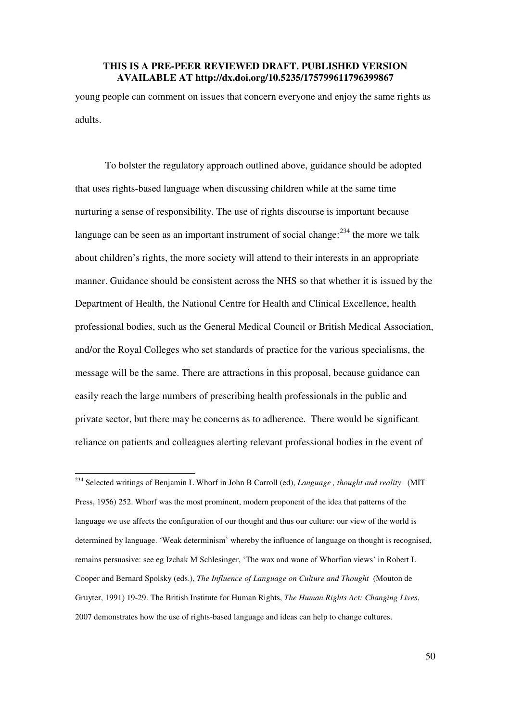young people can comment on issues that concern everyone and enjoy the same rights as adults.

To bolster the regulatory approach outlined above, guidance should be adopted that uses rights-based language when discussing children while at the same time nurturing a sense of responsibility. The use of rights discourse is important because language can be seen as an important instrument of social change: $^{234}$  the more we talk about children's rights, the more society will attend to their interests in an appropriate manner. Guidance should be consistent across the NHS so that whether it is issued by the Department of Health, the National Centre for Health and Clinical Excellence, health professional bodies, such as the General Medical Council or British Medical Association, and/or the Royal Colleges who set standards of practice for the various specialisms, the message will be the same. There are attractions in this proposal, because guidance can easily reach the large numbers of prescribing health professionals in the public and private sector, but there may be concerns as to adherence. There would be significant reliance on patients and colleagues alerting relevant professional bodies in the event of

<sup>234</sup> Selected writings of Benjamin L Whorf in John B Carroll (ed), *Language , thought and reality* (MIT Press, 1956) 252. Whorf was the most prominent, modern proponent of the idea that patterns of the language we use affects the configuration of our thought and thus our culture: our view of the world is determined by language. 'Weak determinism' whereby the influence of language on thought is recognised, remains persuasive: see eg Izchak M Schlesinger, 'The wax and wane of Whorfian views' in Robert L Cooper and Bernard Spolsky (eds.), *The Influence of Language on Culture and Thought* (Mouton de Gruyter, 1991) 19-29. The British Institute for Human Rights, *The Human Rights Act: Changing Lives*, 2007 demonstrates how the use of rights-based language and ideas can help to change cultures.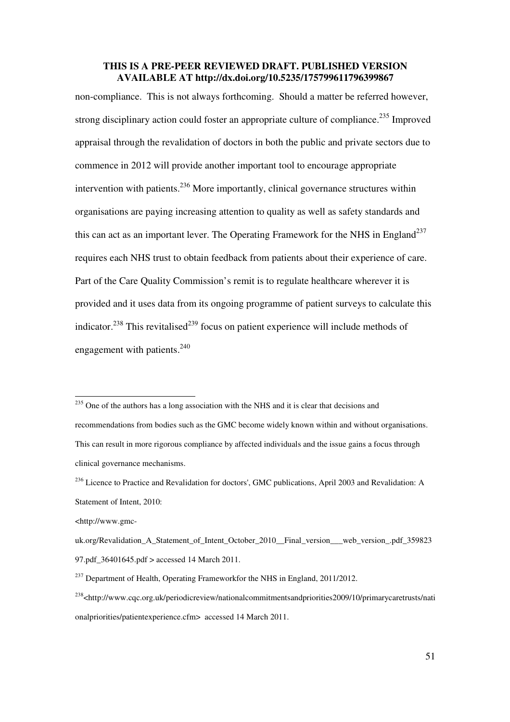non-compliance. This is not always forthcoming. Should a matter be referred however, strong disciplinary action could foster an appropriate culture of compliance.<sup>235</sup> Improved appraisal through the revalidation of doctors in both the public and private sectors due to commence in 2012 will provide another important tool to encourage appropriate intervention with patients.  $236$  More importantly, clinical governance structures within organisations are paying increasing attention to quality as well as safety standards and this can act as an important lever. The Operating Framework for the NHS in England<sup>237</sup> requires each NHS trust to obtain feedback from patients about their experience of care. Part of the Care Quality Commission's remit is to regulate healthcare wherever it is provided and it uses data from its ongoing programme of patient surveys to calculate this indicator.<sup>238</sup> This revitalised<sup>239</sup> focus on patient experience will include methods of engagement with patients. $240$ 

 $235$  One of the authors has a long association with the NHS and it is clear that decisions and recommendations from bodies such as the GMC become widely known within and without organisations. This can result in more rigorous compliance by affected individuals and the issue gains a focus through clinical governance mechanisms.

<sup>&</sup>lt;sup>236</sup> Licence to Practice and Revalidation for doctors', GMC publications, April 2003 and Revalidation: A Statement of Intent, 2010:

<sup>&</sup>lt;http://www.gmc-

uk.org/Revalidation A Statement of Intent October 2010 Final version web version .pdf 359823 97.pdf\_36401645.pdf > accessed 14 March 2011.

<sup>&</sup>lt;sup>237</sup> Department of Health, Operating Frameworkfor the NHS in England, 2011/2012.

<sup>238</sup><http://www.cqc.org.uk/periodicreview/nationalcommitmentsandpriorities2009/10/primarycaretrusts/nati onalpriorities/patientexperience.cfm> accessed 14 March 2011.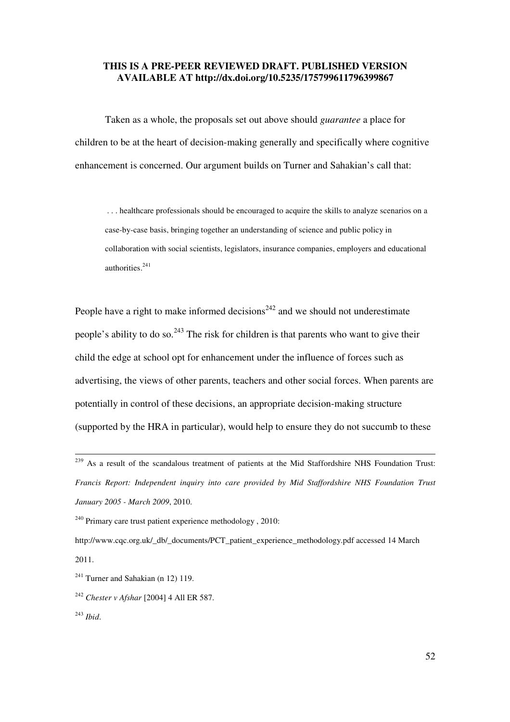Taken as a whole, the proposals set out above should *guarantee* a place for children to be at the heart of decision-making generally and specifically where cognitive enhancement is concerned. Our argument builds on Turner and Sahakian's call that:

. . . healthcare professionals should be encouraged to acquire the skills to analyze scenarios on a case-by-case basis, bringing together an understanding of science and public policy in collaboration with social scientists, legislators, insurance companies, employers and educational authorities.<sup>241</sup>

People have a right to make informed decisions<sup> $242$ </sup> and we should not underestimate people's ability to do so.<sup>243</sup> The risk for children is that parents who want to give their child the edge at school opt for enhancement under the influence of forces such as advertising, the views of other parents, teachers and other social forces. When parents are potentially in control of these decisions, an appropriate decision-making structure (supported by the HRA in particular), would help to ensure they do not succumb to these

http://www.cqc.org.uk/\_db/\_documents/PCT\_patient\_experience\_methodology.pdf accessed 14 March 2011.

 $\overline{a}$ 

<sup>&</sup>lt;sup>239</sup> As a result of the scandalous treatment of patients at the Mid Staffordshire NHS Foundation Trust: *Francis Report: Independent inquiry into care provided by Mid Staffordshire NHS Foundation Trust January 2005 - March 2009*, 2010.

 $240$  Primary care trust patient experience methodology, 2010:

 $241$  Turner and Sahakian (n 12) 119.

<sup>242</sup> *Chester v Afshar* [2004] 4 All ER 587.

<sup>243</sup> *Ibid*.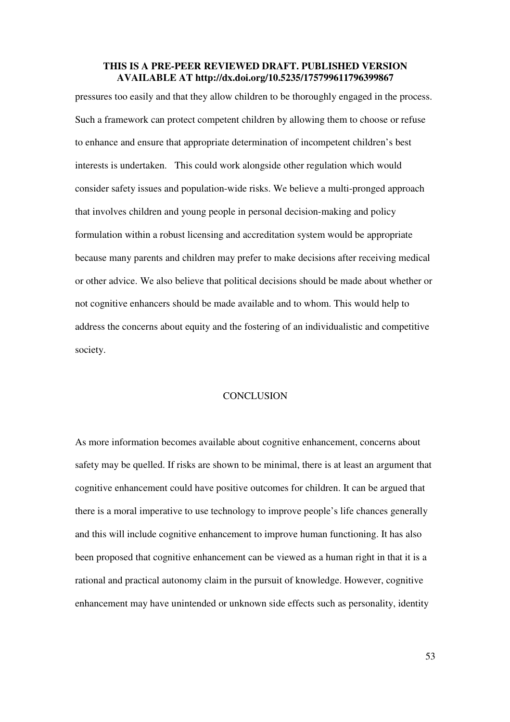pressures too easily and that they allow children to be thoroughly engaged in the process. Such a framework can protect competent children by allowing them to choose or refuse to enhance and ensure that appropriate determination of incompetent children's best interests is undertaken. This could work alongside other regulation which would consider safety issues and population-wide risks. We believe a multi-pronged approach that involves children and young people in personal decision-making and policy formulation within a robust licensing and accreditation system would be appropriate because many parents and children may prefer to make decisions after receiving medical or other advice. We also believe that political decisions should be made about whether or not cognitive enhancers should be made available and to whom. This would help to address the concerns about equity and the fostering of an individualistic and competitive society.

#### **CONCLUSION**

As more information becomes available about cognitive enhancement, concerns about safety may be quelled. If risks are shown to be minimal, there is at least an argument that cognitive enhancement could have positive outcomes for children. It can be argued that there is a moral imperative to use technology to improve people's life chances generally and this will include cognitive enhancement to improve human functioning. It has also been proposed that cognitive enhancement can be viewed as a human right in that it is a rational and practical autonomy claim in the pursuit of knowledge. However, cognitive enhancement may have unintended or unknown side effects such as personality, identity

53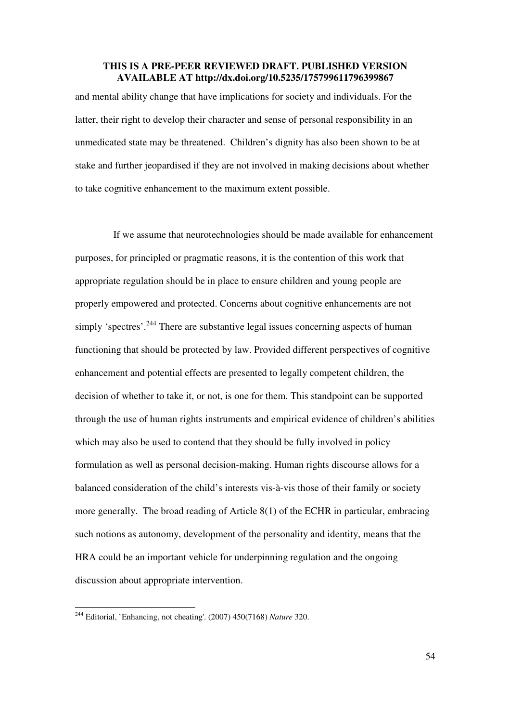and mental ability change that have implications for society and individuals. For the latter, their right to develop their character and sense of personal responsibility in an unmedicated state may be threatened. Children's dignity has also been shown to be at stake and further jeopardised if they are not involved in making decisions about whether to take cognitive enhancement to the maximum extent possible.

 If we assume that neurotechnologies should be made available for enhancement purposes, for principled or pragmatic reasons, it is the contention of this work that appropriate regulation should be in place to ensure children and young people are properly empowered and protected. Concerns about cognitive enhancements are not simply 'spectres'.<sup>244</sup> There are substantive legal issues concerning aspects of human functioning that should be protected by law. Provided different perspectives of cognitive enhancement and potential effects are presented to legally competent children, the decision of whether to take it, or not, is one for them. This standpoint can be supported through the use of human rights instruments and empirical evidence of children's abilities which may also be used to contend that they should be fully involved in policy formulation as well as personal decision-making. Human rights discourse allows for a balanced consideration of the child's interests vis-à-vis those of their family or society more generally. The broad reading of Article 8(1) of the ECHR in particular, embracing such notions as autonomy, development of the personality and identity, means that the HRA could be an important vehicle for underpinning regulation and the ongoing discussion about appropriate intervention.

<sup>244</sup> Editorial, `Enhancing, not cheating'. (2007) 450(7168) *Nature* 320.